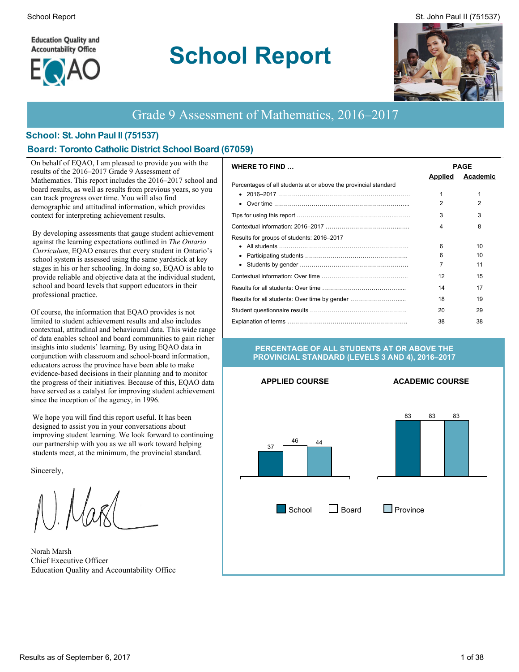**Education Quality and Accountability Office** 



# **School Report**





# Grade 9 Assessment of Mathematics, 2016–2017

#### **School: St. John Paul II (751537)**

#### **Board: Toronto Catholic District School Board (67059)**

On behalf of EQAO, I am pleased to provide you with the results of the 2016–2017 Grade 9 Assessment of Mathematics. This report includes the 2016–2017 school and board results, as well as results from previous years, so you can track progress over time. You will also find demographic and attitudinal information, which provides context for interpreting achievement results.

By developing assessments that gauge student achievement against the learning expectations outlined in *The Ontario Curriculum*, EQAO ensures that every student in Ontario's school system is assessed using the same yardstick at key stages in his or her schooling. In doing so, EQAO is able to provide reliable and objective data at the individual student, school and board levels that support educators in their professional practice.

Of course, the information that EQAO provides is not limited to student achievement results and also includes contextual, attitudinal and behavioural data. This wide range of data enables school and board communities to gain richer insights into students' learning. By using EQAO data in conjunction with classroom and school-board information, educators across the province have been able to make evidence-based decisions in their planning and to monitor the progress of their initiatives. Because of this, EQAO data have served as a catalyst for improving student achievement since the inception of the agency, in 1996.

We hope you will find this report useful. It has been designed to assist you in your conversations about improving student learning. We look forward to continuing our partnership with you as we all work toward helping students meet, at the minimum, the provincial standard.

Sincerely,

Norah Marsh Chief Executive Officer Education Quality and Accountability Office

| <b>WHERE TO FIND</b>                                            | <b>PAGE</b>    |          |  |  |  |
|-----------------------------------------------------------------|----------------|----------|--|--|--|
|                                                                 | <b>Applied</b> | Academic |  |  |  |
| Percentages of all students at or above the provincial standard |                |          |  |  |  |
|                                                                 |                | 1        |  |  |  |
|                                                                 | 2              | 2        |  |  |  |
|                                                                 | 3              | 3        |  |  |  |
|                                                                 | 4              | 8        |  |  |  |
| Results for groups of students: 2016-2017                       |                |          |  |  |  |
|                                                                 | 6              | 10       |  |  |  |
|                                                                 | 6              | 10       |  |  |  |
| $\bullet$                                                       |                | 11       |  |  |  |
|                                                                 | 12             | 15       |  |  |  |
|                                                                 | 14             | 17       |  |  |  |
| Results for all students: Over time by gender                   | 18             | 19       |  |  |  |
|                                                                 | 20             | 29       |  |  |  |
|                                                                 | 38             | 38       |  |  |  |

#### **PERCENTAGE OF ALL STUDENTS AT OR ABOVE THE PROVINCIAL STANDARD (LEVELS 3 AND 4), 2016–2017**

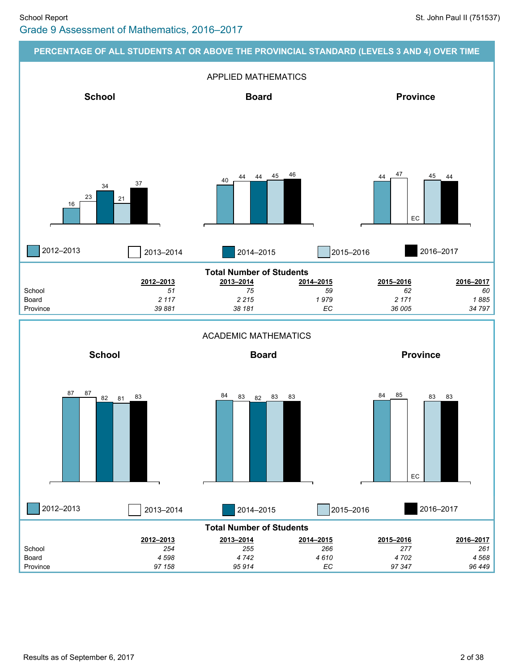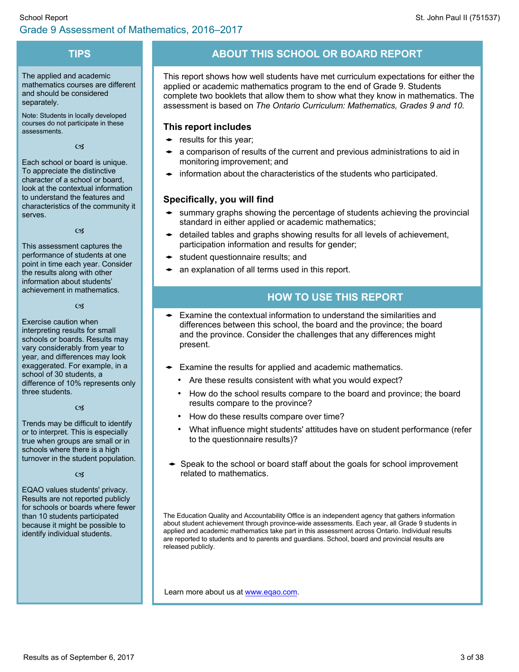#### **TIPS**

The applied and academic mathematics courses are different and should be considered separately.

Note: Students in locally developed courses do not participate in these assessments.

 $C<sub>2</sub>$ 

Each school or board is unique. To appreciate the distinctive character of a school or board, look at the contextual information to understand the features and characteristics of the community it serves.

 $C<sub>2</sub>$ 

This assessment captures the performance of students at one point in time each year. Consider the results along with other information about students' achievement in mathematics.

 $C<sub>3</sub>$ 

Exercise caution when interpreting results for small schools or boards. Results may vary considerably from year to year, and differences may look exaggerated. For example, in a school of 30 students, a difference of 10% represents only three students.

#### $C<sub>3</sub>$

Trends may be difficult to identify or to interpret. This is especially true when groups are small or in schools where there is a high turnover in the student population.

 $C<sub>3</sub>$ 

EQAO values students' privacy. Results are not reported publicly for schools or boards where fewer than 10 students participated because it might be possible to identify individual students.

# **ABOUT THIS SCHOOL OR BOARD REPORT**

This report shows how well students have met curriculum expectations for either the applied or academic mathematics program to the end of Grade 9. Students complete two booklets that allow them to show what they know in mathematics. The assessment is based on *The Ontario Curriculum: Mathematics, Grades 9 and 10.*

### **This report includes**

- $\bullet$  results for this year;
- $\bullet$  a comparison of results of the current and previous administrations to aid in monitoring improvement; and
- $\bullet$  information about the characteristics of the students who participated.

## **Specifically, you will find**

- summary graphs showing the percentage of students achieving the provincial standard in either applied or academic mathematics;
- detailed tables and graphs showing results for all levels of achievement, participation information and results for gender;
- student questionnaire results; and
- $\bullet$  an explanation of all terms used in this report.

# **HOW TO USE THIS REPORT**

- Examine the contextual information to understand the similarities and differences between this school, the board and the province; the board and the province. Consider the challenges that any differences might present.
- $\bullet$  Examine the results for applied and academic mathematics.
	- Are these results consistent with what you would expect?
	- How do the school results compare to the board and province; the board results compare to the province?
	- How do these results compare over time?
	- What influence might students' attitudes have on student performance (refer to the questionnaire results)?
- $\rightarrow$  Speak to the school or board staff about the goals for school improvement related to mathematics.

The Education Quality and Accountability Office is an independent agency that gathers information about student achievement through province-wide assessments. Each year, all Grade 9 students in applied and academic mathematics take part in this assessment across Ontario. Individual results are reported to students and to parents and guardians. School, board and provincial results are released publicly.

Learn more about us at [www.eqao.com.](http://www.eqao.com/)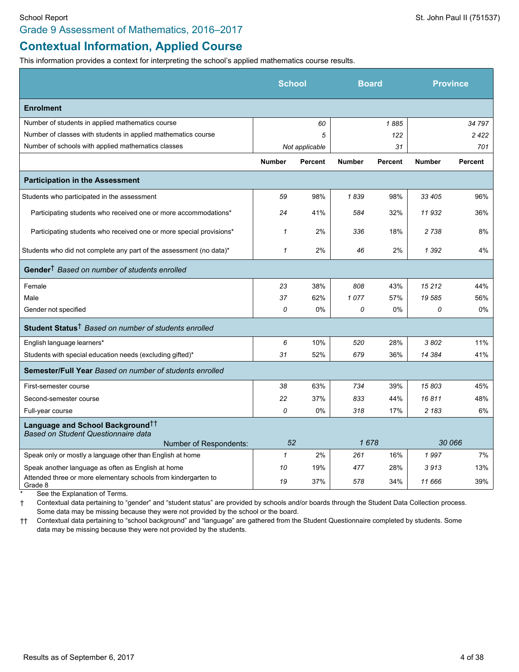### Grade 9 Assessment of Mathematics, 2016–2017

# **Contextual Information, Applied Course**

This information provides a context for interpreting the school's applied mathematics course results.

|                                                                                     | <b>School</b> |                | <b>Board</b>  |                |               | <b>Province</b> |
|-------------------------------------------------------------------------------------|---------------|----------------|---------------|----------------|---------------|-----------------|
| <b>Enrolment</b>                                                                    |               |                |               |                |               |                 |
| Number of students in applied mathematics course                                    |               | 60             |               | 1885           |               | 34 797          |
| Number of classes with students in applied mathematics course                       |               | 5              |               | 122            |               | 2422            |
| Number of schools with applied mathematics classes                                  |               | Not applicable |               | 31             |               | 701             |
|                                                                                     | <b>Number</b> | Percent        | <b>Number</b> | <b>Percent</b> | <b>Number</b> | <b>Percent</b>  |
| <b>Participation in the Assessment</b>                                              |               |                |               |                |               |                 |
| Students who participated in the assessment                                         | 59            | 98%            | 1839          | 98%            | 33 405        | 96%             |
| Participating students who received one or more accommodations*                     | 24            | 41%            | 584           | 32%            | 11932         | 36%             |
| Participating students who received one or more special provisions*                 | $\mathbf{1}$  | 2%             | 336           | 18%            | 2738          | 8%              |
| Students who did not complete any part of the assessment (no data)*                 | $\mathbf{1}$  | 2%             | 46            | 2%             | 1 3 9 2       | 4%              |
| Gender <sup>†</sup> Based on number of students enrolled                            |               |                |               |                |               |                 |
| Female                                                                              | 23            | 38%            | 808           | 43%            | 15 212        | 44%             |
| Male                                                                                | 37            | 62%            | 1077          | 57%            | 19585         | 56%             |
| Gender not specified                                                                | 0             | 0%             | 0             | 0%             | 0             | 0%              |
| Student Status <sup>†</sup> Based on number of students enrolled                    |               |                |               |                |               |                 |
| English language learners*                                                          | 6             | 10%            | 520           | 28%            | 3802          | 11%             |
| Students with special education needs (excluding gifted)*                           | 31            | 52%            | 679           | 36%            | 14 384        | 41%             |
| <b>Semester/Full Year Based on number of students enrolled</b>                      |               |                |               |                |               |                 |
| First-semester course                                                               | 38            | 63%            | 734           | 39%            | 15803         | 45%             |
| Second-semester course                                                              | 22            | 37%            | 833           | 44%            | 16811         | 48%             |
| Full-year course                                                                    | 0             | 0%             | 318           | 17%            | 2 183         | 6%              |
| Language and School Background <sup>††</sup><br>Based on Student Questionnaire data |               |                |               |                |               |                 |
| Number of Respondents:                                                              | 52            |                | 1678          |                |               | 30 066          |
| Speak only or mostly a language other than English at home                          | $\mathbf{1}$  | 2%             | 261           | 16%            | 1997          | 7%              |
| Speak another language as often as English at home                                  | 10            | 19%            | 477           | 28%            | 3913          | 13%             |
| Attended three or more elementary schools from kindergarten to<br>Grade 8           | 19            | 37%            | 578           | 34%            | 11 666        | 39%             |

See the Explanation of Terms.

† Contextual data pertaining to "gender" and "student status" are provided by schools and/or boards through the Student Data Collection process. Some data may be missing because they were not provided by the school or the board.

†† Contextual data pertaining to "school background" and "language" are gathered from the Student Questionnaire completed by students. Some data may be missing because they were not provided by the students.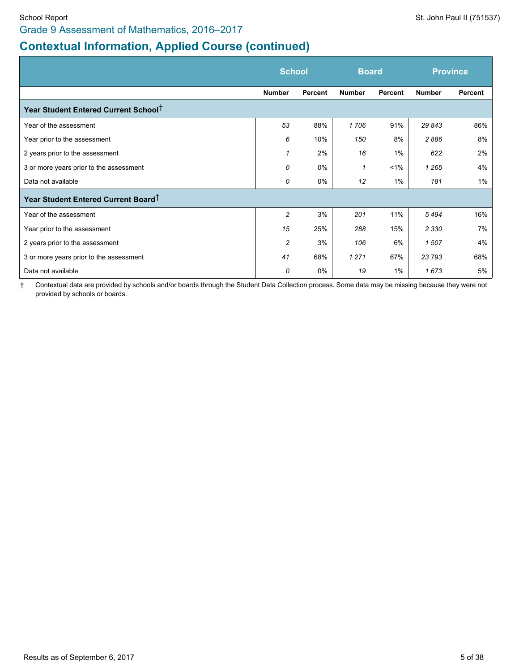# **Contextual Information, Applied Course (continued)**

|                                                  | <b>School</b>  |         | <b>Board</b>  |         | <b>Province</b> |         |
|--------------------------------------------------|----------------|---------|---------------|---------|-----------------|---------|
|                                                  | <b>Number</b>  | Percent | <b>Number</b> | Percent | <b>Number</b>   | Percent |
| Year Student Entered Current School <sup>†</sup> |                |         |               |         |                 |         |
| Year of the assessment                           | 53             | 88%     | 1706          | 91%     | 29 843          | 86%     |
| Year prior to the assessment                     | 6              | 10%     | 150           | 8%      | 2886            | 8%      |
| 2 years prior to the assessment                  | 1              | 2%      | 16            | $1\%$   | 622             | 2%      |
| 3 or more years prior to the assessment          | 0              | $0\%$   | 1             | $1\%$   | 1 2 6 5         | 4%      |
| Data not available                               | 0              | 0%      | 12            | $1\%$   | 181             | 1%      |
| Year Student Entered Current Board <sup>T</sup>  |                |         |               |         |                 |         |
| Year of the assessment                           | $\overline{c}$ | 3%      | 201           | 11%     | 5494            | 16%     |
| Year prior to the assessment                     | 15             | 25%     | 288           | 15%     | 2 3 3 0         | 7%      |
| 2 years prior to the assessment                  | 2              | 3%      | 106           | 6%      | 1507            | 4%      |
| 3 or more years prior to the assessment          | 41             | 68%     | 1 2 7 1       | 67%     | 23 793          | 68%     |
| Data not available                               | 0              | 0%      | 19            | $1\%$   | 1673            | 5%      |

† Contextual data are provided by schools and/or boards through the Student Data Collection process. Some data may be missing because they were not provided by schools or boards.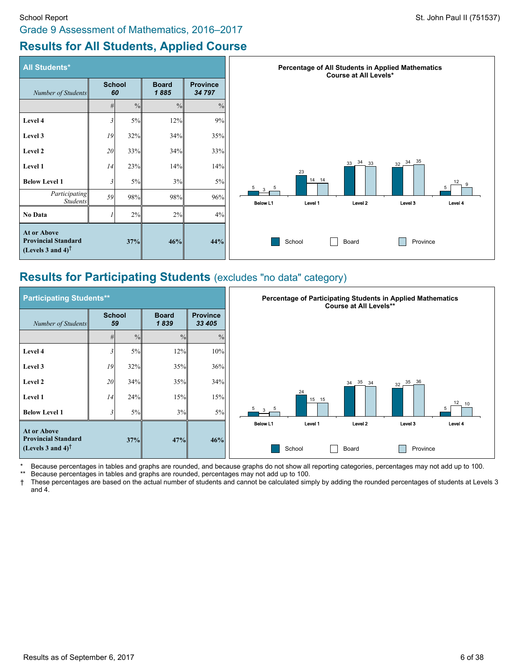# **Results for All Students, Applied Course**

| <b>All Students*</b>                                                                          |                     |               |                      |                           | Percentage of All Students in Applied Mathematics<br><b>Course at All Levels*</b> |
|-----------------------------------------------------------------------------------------------|---------------------|---------------|----------------------|---------------------------|-----------------------------------------------------------------------------------|
| Number of Students                                                                            | <b>School</b><br>60 |               | <b>Board</b><br>1885 | <b>Province</b><br>34 797 |                                                                                   |
|                                                                                               | #                   | $\frac{0}{0}$ | $\frac{0}{0}$        | $\frac{0}{0}$             |                                                                                   |
| Level 4                                                                                       | $\mathfrak{Z}$      | 5%            | 12%                  | 9%                        |                                                                                   |
| Level 3                                                                                       | 19                  | 32%           | 34%                  | 35%                       |                                                                                   |
| Level 2                                                                                       | 20                  | 33%           | 34%                  | 33%                       |                                                                                   |
| Level 1                                                                                       | 14                  | 23%           | 14%                  | 14%                       | 34 35<br>33 34 33<br>32<br>23                                                     |
| <b>Below Level 1</b>                                                                          | 3                   | 5%            | 3%                   | 5%                        | 14 14<br>12<br>$3 \frac{5}{1}$<br>5                                               |
| Participating<br><b>Students</b>                                                              | 59                  | 98%           | 98%                  | 96%                       | Below L1<br>Level 1<br>Level <sub>2</sub><br>Level 3<br>Level 4                   |
| No Data                                                                                       |                     | $2\%$         | 2%                   | 4%                        |                                                                                   |
| At or Above<br><b>Provincial Standard</b><br>(Levels 3 and 4) <sup><math>\dagger</math></sup> |                     | 37%           | 46%                  | 44%                       | Province<br>School<br>Board                                                       |

# **Results for Participating Students** (excludes "no data" category)

| <b>Participating Students**</b>                                                 |                     |               |                                                   |               |
|---------------------------------------------------------------------------------|---------------------|---------------|---------------------------------------------------|---------------|
| Number of Students                                                              | <b>School</b><br>59 |               | <b>Board</b><br><b>Province</b><br>1839<br>33 405 |               |
|                                                                                 | #                   | $\frac{0}{0}$ | $\frac{0}{0}$                                     | $\frac{0}{0}$ |
| Level 4                                                                         | 3                   | 5%            | 12%                                               | 10%           |
| Level 3                                                                         | 19                  | 32%           | 35%                                               | 36%           |
| Level 2                                                                         | 20                  | 34%           | 35%                                               | 34%           |
| Level 1                                                                         | 14                  | 24%           | 15%                                               | 15%           |
| <b>Below Level 1</b>                                                            | 3                   | 5%            | 3%                                                | $5\%$         |
| At or Above                                                                     |                     |               |                                                   |               |
| <b>Provincial Standard</b><br>(Levels 3 and 4) <sup><math>\uparrow</math></sup> |                     | 37%           | 47%                                               | 46%           |

\* Because percentages in tables and graphs are rounded, and because graphs do not show all reporting categories, percentages may not add up to 100.<br>\*\* Because percentages in tables and graphs are rounded, percentages may n

\*\* Because percentages in tables and graphs are rounded, percentages may not add up to 100.<br>† These percentages are based on the actual number of students and cannot be calculated sim † These percentages are based on the actual number of students and cannot be calculated simply by adding the rounded percentages of students at Levels 3 and 4.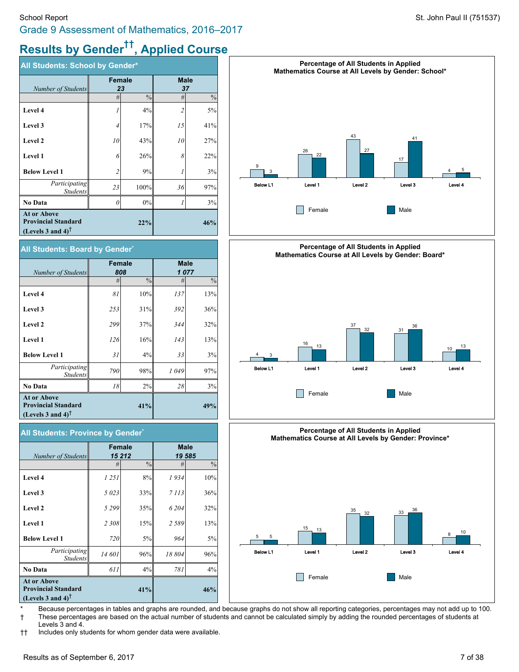# **Results by Gender †† , Applied Course**

| All Students: School by Gender*                                                                       |                |               |             |               |  |  |
|-------------------------------------------------------------------------------------------------------|----------------|---------------|-------------|---------------|--|--|
| Number of Students                                                                                    | Female         | 23            | <b>Male</b> | 37            |  |  |
|                                                                                                       | #              | $\frac{0}{0}$ | #           | $\frac{0}{0}$ |  |  |
| Level 4                                                                                               |                | 4%            | 2           | 5%            |  |  |
| Level 3                                                                                               | 4              | 17%           | 15          | 41%           |  |  |
| Level 2                                                                                               | 10             | 43%           | 10          | 27%           |  |  |
| Level 1                                                                                               | 6              | 26%           | 8           | 22%           |  |  |
| <b>Below Level 1</b>                                                                                  | $\overline{c}$ | 9%            |             | 3%            |  |  |
| Participating<br><b>Students</b>                                                                      | 23             | 100%          | 36          | 97%           |  |  |
| <b>No Data</b>                                                                                        | 0              | 0%            |             | 3%            |  |  |
| <b>At or Above</b><br><b>Provincial Standard</b><br>(Levels 3 and 4) <sup><math>\uparrow</math></sup> |                | 22%           |             | 46%           |  |  |

#### **All Students: Board by Gender\***

|                                                                                   |     | <b>Female</b> | <b>Male</b> |               |  |
|-----------------------------------------------------------------------------------|-----|---------------|-------------|---------------|--|
| Number of Students                                                                |     | 808           | 1077        |               |  |
|                                                                                   | #   | $\frac{0}{0}$ | #           | $\frac{0}{0}$ |  |
| Level 4                                                                           | 81  | 10%           | 137         | 13%           |  |
| Level 3                                                                           | 253 | 31%           | 392         | 36%           |  |
| Level 2                                                                           | 299 | 37%           | 344         | 32%           |  |
| Level 1                                                                           | 126 | 16%           | 143         | 13%           |  |
| <b>Below Level 1</b>                                                              | 31  | 4%            | 33          | 3%            |  |
| Participating<br><b>Students</b>                                                  | 790 | 98%           | 1049        | 97%           |  |
| <b>No Data</b>                                                                    | 18  | 2%            | 28          | 3%            |  |
| <b>At or Above</b><br><b>Provincial Standard</b><br>(Levels 3 and 4) <sup>T</sup> |     | 41%           |             | 49%           |  |

| All Students: Province by Gender*                                                 |         |               |                       |               |  |  |  |
|-----------------------------------------------------------------------------------|---------|---------------|-----------------------|---------------|--|--|--|
| Number of Students                                                                | Female  | 15 212        | <b>Male</b><br>19 585 |               |  |  |  |
|                                                                                   | #       | $\frac{0}{0}$ | #                     | $\frac{0}{0}$ |  |  |  |
| Level 4                                                                           | 1 251   | 8%            | 1934                  | 10%           |  |  |  |
| Level 3                                                                           | 5 0 23  | 33%           | 7 1 1 3               | 36%           |  |  |  |
| Level 2                                                                           | 5 2 9 9 | 35%           | 6 204                 | 32%           |  |  |  |
| Level 1                                                                           | 2 3 0 8 | 15%           | 2589                  | 13%           |  |  |  |
| <b>Below Level 1</b>                                                              | 720     | 5%            | 964                   | 5%            |  |  |  |
| Participating<br><b>Students</b>                                                  | 14 601  | 96%           | 18804                 | 96%           |  |  |  |
| <b>No Data</b>                                                                    | 611     | 4%            | 781                   | 4%            |  |  |  |
| <b>At or Above</b><br><b>Provincial Standard</b><br>(Levels 3 and 4) <sup>T</sup> |         | 41%           |                       | 46%           |  |  |  |

![](_page_6_Figure_7.jpeg)

![](_page_6_Figure_8.jpeg)

![](_page_6_Figure_9.jpeg)

\* Because percentages in tables and graphs are rounded, and because graphs do not show all reporting categories, percentages may not add up to 100. † These percentages are based on the actual number of students and cannot be calculated simply by adding the rounded percentages of students at Levels 3 and 4.

†† Includes only students for whom gender data were available.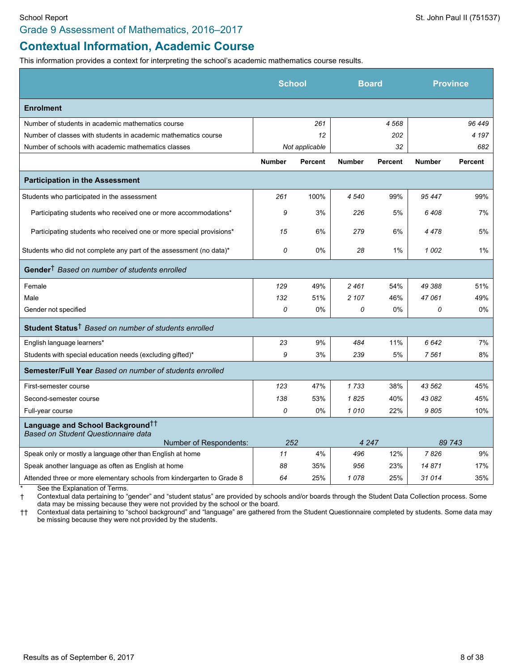## Grade 9 Assessment of Mathematics, 2016–2017

# **Contextual Information, Academic Course**

This information provides a context for interpreting the school's academic mathematics course results.

|                                                                                     | <b>School</b> |                | <b>Board</b>  |                |               | <b>Province</b> |
|-------------------------------------------------------------------------------------|---------------|----------------|---------------|----------------|---------------|-----------------|
| <b>Enrolment</b>                                                                    |               |                |               |                |               |                 |
| Number of students in academic mathematics course                                   |               | 261            |               | 4568           |               | 96 449          |
| Number of classes with students in academic mathematics course                      |               | 12             |               | 202            |               | 4 1 9 7         |
| Number of schools with academic mathematics classes                                 |               | Not applicable |               | 32             |               | 682             |
|                                                                                     | <b>Number</b> | <b>Percent</b> | <b>Number</b> | <b>Percent</b> | <b>Number</b> | <b>Percent</b>  |
| <b>Participation in the Assessment</b>                                              |               |                |               |                |               |                 |
| Students who participated in the assessment                                         | 261           | 100%           | 4 5 4 0       | 99%            | 95 447        | 99%             |
| Participating students who received one or more accommodations*                     | 9             | 3%             | 226           | 5%             | 6408          | 7%              |
| Participating students who received one or more special provisions*                 | 15            | 6%             | 279           | 6%             | 4478          | 5%              |
| Students who did not complete any part of the assessment (no data)*                 | 0             | 0%             | 28            | 1%             | 1002          | $1\%$           |
| Gender <sup>†</sup> Based on number of students enrolled                            |               |                |               |                |               |                 |
| Female                                                                              | 129           | 49%            | 2461          | 54%            | 49 388        | 51%             |
| Male                                                                                | 132           | 51%            | 2 107         | 46%            | 47061         | 49%             |
| Gender not specified                                                                | 0             | 0%             | 0             | $0\%$          | 0             | 0%              |
| Student Status <sup>†</sup> Based on number of students enrolled                    |               |                |               |                |               |                 |
| English language learners*                                                          | 23            | 9%             | 484           | 11%            | 6642          | 7%              |
| Students with special education needs (excluding gifted)*                           | 9             | 3%             | 239           | 5%             | 7561          | 8%              |
| <b>Semester/Full Year Based on number of students enrolled</b>                      |               |                |               |                |               |                 |
| First-semester course                                                               | 123           | 47%            | 1733          | 38%            | 43 562        | 45%             |
| Second-semester course                                                              | 138           | 53%            | 1825          | 40%            | 43 082        | 45%             |
| Full-year course                                                                    | 0             | $0\%$          | 1010          | 22%            | 9805          | 10%             |
| Language and School Background <sup>††</sup><br>Based on Student Questionnaire data |               |                |               |                |               |                 |
| Number of Respondents:                                                              | 252           |                | 4 2 4 7       |                |               | 89 743          |
| Speak only or mostly a language other than English at home                          | 11            | 4%             | 496           | 12%            | 7826          | 9%              |
| Speak another language as often as English at home                                  | 88            | 35%            | 956           | 23%            | 14871         | 17%             |
| Attended three or more elementary schools from kindergarten to Grade 8              | 64            | 25%            | 1078          | 25%            | 31014         | 35%             |

See the Explanation of Terms.

† Contextual data pertaining to "gender" and "student status" are provided by schools and/or boards through the Student Data Collection process. Some data may be missing because they were not provided by the school or the board.

†† Contextual data pertaining to "school background" and "language" are gathered from the Student Questionnaire completed by students. Some data may be missing because they were not provided by the students.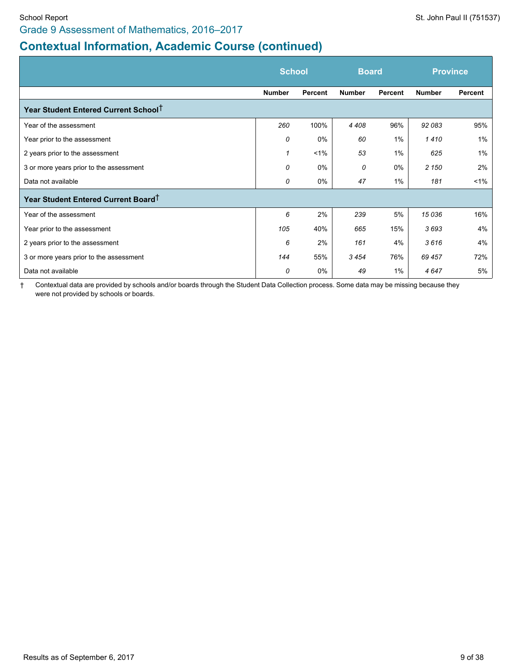# **Contextual Information, Academic Course (continued)**

|                                                  | <b>School</b> |         | <b>Board</b>  |         | <b>Province</b> |         |
|--------------------------------------------------|---------------|---------|---------------|---------|-----------------|---------|
|                                                  | <b>Number</b> | Percent | <b>Number</b> | Percent | <b>Number</b>   | Percent |
| Year Student Entered Current School <sup>T</sup> |               |         |               |         |                 |         |
| Year of the assessment                           | 260           | 100%    | 4 4 0 8       | 96%     | 92 083          | 95%     |
| Year prior to the assessment                     | 0             | 0%      | 60            | $1\%$   | 1410            | 1%      |
| 2 years prior to the assessment                  | 1             | $1\%$   | 53            | $1\%$   | 625             | 1%      |
| 3 or more years prior to the assessment          | 0             | $0\%$   | 0             | $0\%$   | 2 150           | 2%      |
| Data not available                               | 0             | 0%      | 47            | $1\%$   | 181             | $1\%$   |
| Year Student Entered Current Board <sup>+</sup>  |               |         |               |         |                 |         |
| Year of the assessment                           | 6             | 2%      | 239           | 5%      | 15 036          | 16%     |
| Year prior to the assessment                     | 105           | 40%     | 665           | 15%     | 3693            | 4%      |
| 2 years prior to the assessment                  | 6             | 2%      | 161           | 4%      | 3616            | 4%      |
| 3 or more years prior to the assessment          | 144           | 55%     | 3454          | 76%     | 69 457          | 72%     |
| Data not available                               | 0             | 0%      | 49            | $1\%$   | 4647            | 5%      |

† Contextual data are provided by schools and/or boards through the Student Data Collection process. Some data may be missing because they were not provided by schools or boards.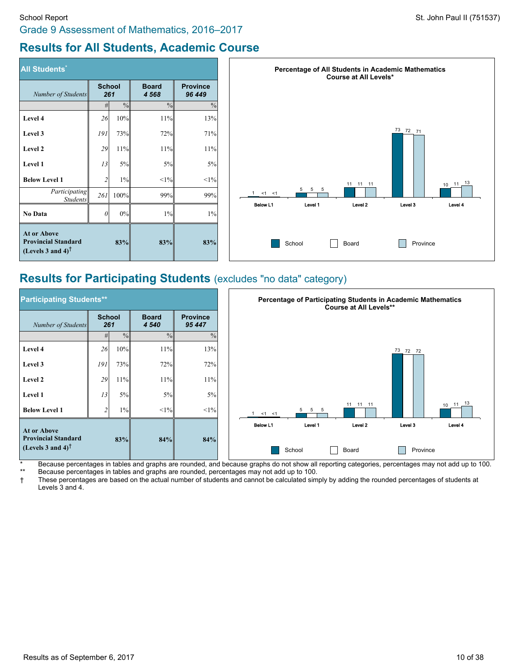# **Results for All Students, Academic Course**

| <b>All Students*</b>                                                                                  |                      |               |                      |                           |
|-------------------------------------------------------------------------------------------------------|----------------------|---------------|----------------------|---------------------------|
| Number of Students                                                                                    | <b>School</b><br>261 |               | <b>Board</b><br>4568 | <b>Province</b><br>96 449 |
|                                                                                                       | #                    | $\frac{0}{0}$ | $\frac{0}{0}$        | $\frac{0}{0}$             |
| Level 4                                                                                               | 26                   | 10%           | 11%                  | 13%                       |
| Level 3                                                                                               | 191                  | 73%           | 72%                  | 71%                       |
| Level 2                                                                                               | 29                   | 11%           | 11%                  | 11%                       |
| Level 1                                                                                               | 13                   | 5%            | 5%                   | 5%                        |
| <b>Below Level 1</b>                                                                                  | $\overline{c}$       | $1\%$         | <1%                  | $<1\%$                    |
| Participating<br><b>Students</b>                                                                      | 261                  | 100%          | 99%                  | 99%                       |
| No Data                                                                                               | $\theta$             | 0%            | $1\%$                | 1%                        |
| <b>At or Above</b><br><b>Provincial Standard</b><br>(Levels 3 and 4) <sup><math>\uparrow</math></sup> |                      | 83%           | 83%                  |                           |

![](_page_9_Figure_4.jpeg)

# **Results for Participating Students** (excludes "no data" category)

| <b>Participating Students**</b>                                                                       |                      |               |                         |                           | Percentage of Participating Students in Academic Mathematics<br><b>Course at All Levels**</b> |
|-------------------------------------------------------------------------------------------------------|----------------------|---------------|-------------------------|---------------------------|-----------------------------------------------------------------------------------------------|
| Number of Students                                                                                    | <b>School</b><br>261 |               | <b>Board</b><br>4 5 4 0 | <b>Province</b><br>95 447 |                                                                                               |
|                                                                                                       | #                    | $\frac{9}{6}$ | $\frac{0}{0}$           | $\frac{0}{0}$             |                                                                                               |
| Level 4                                                                                               | 26                   | 10%           | 11%                     | 13%                       | $73/72$ 72                                                                                    |
| Level 3                                                                                               | 191                  | 73%           | 72%                     | 72%                       |                                                                                               |
| Level 2                                                                                               | 29                   | 11%           | 11%                     | 11%                       |                                                                                               |
| Level 1                                                                                               | 13                   | 5%            | 5%                      | 5%                        |                                                                                               |
| <b>Below Level 1</b>                                                                                  | $\mathbf \cdot$      | $1\%$         | $<1\%$                  | <1%                       | 13<br>11 11 11<br>11<br>10<br>5<br>5<br>-5<br>$<1$ $<1$                                       |
| <b>At or Above</b><br><b>Provincial Standard</b><br>(Levels 3 and 4) <sup><math>\uparrow</math></sup> |                      | 83%           | 84%                     | 84%                       | Below L1<br>Level 1<br>Level 2<br>Level 3<br>Level 4<br>School<br>Province<br>Board           |

\* Because percentages in tables and graphs are rounded, and because graphs do not show all reporting categories, percentages may not add up to 100. Because percentages in tables and graphs are rounded, percentages may not add up to 100.

† These percentages are based on the actual number of students and cannot be calculated simply by adding the rounded percentages of students at Levels 3 and 4.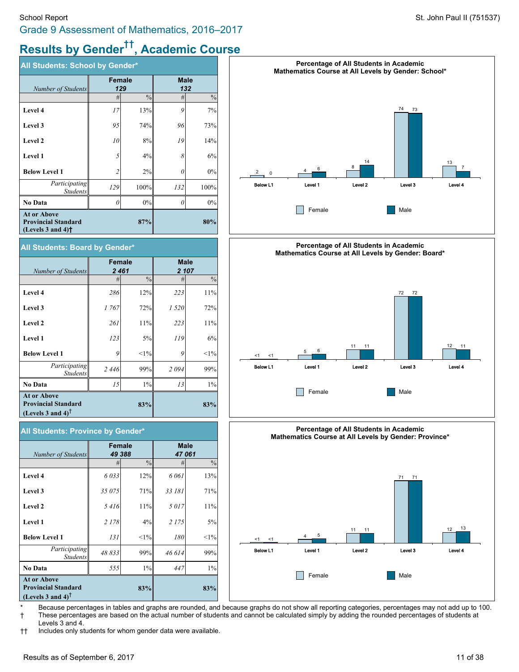# **Results by Gender †† , Academic Course**

| All Students: School by Gender*                                                     |        |               |             |               |  |  |  |  |
|-------------------------------------------------------------------------------------|--------|---------------|-------------|---------------|--|--|--|--|
| Number of Students                                                                  | Female | 129           | <b>Male</b> | 132           |  |  |  |  |
|                                                                                     | #      | $\frac{0}{0}$ | #           | $\frac{0}{0}$ |  |  |  |  |
| Level 4                                                                             | 17     | 13%           | 9           | 7%            |  |  |  |  |
| Level 3                                                                             | 95     | 74%           | 96          | 73%           |  |  |  |  |
| Level 2                                                                             | 10     | 8%            | 19          | 14%           |  |  |  |  |
| Level 1                                                                             | 5      | 4%            | 8           | 6%            |  |  |  |  |
| <b>Below Level 1</b>                                                                | 2      | 2%            | 0           | 0%            |  |  |  |  |
| Participating<br><b>Students</b>                                                    | 129    | 100%          | 132         | 100%          |  |  |  |  |
| <b>No Data</b>                                                                      | 0      | 0%            | 0           | 0%            |  |  |  |  |
| <b>At or Above</b><br><b>Provincial Standard</b><br>(Levels $3$ and $4$ ) $\dagger$ |        | 87%           |             | 80%           |  |  |  |  |

#### **All Students: Board by Gender\***

| Number of Students                                                                                    | <b>Female</b><br>2461 |               | <b>Male</b> | 2 107         |
|-------------------------------------------------------------------------------------------------------|-----------------------|---------------|-------------|---------------|
|                                                                                                       | #                     | $\frac{0}{0}$ | #           | $\frac{0}{0}$ |
| Level 4                                                                                               | 286                   | 12%           | 223         | 11%           |
| Level 3                                                                                               | 1767                  | 72%           | 1 5 20      | 72%           |
| Level 2                                                                                               | 261                   | 11%           | 223         | 11%           |
| Level 1                                                                                               | 123                   | 5%            | 119         | 6%            |
| <b>Below Level 1</b>                                                                                  | 9                     | <1%           | 9           | <1%           |
| Participating<br><b>Students</b>                                                                      | 2446                  | 99%           | 2094        | 99%           |
| <b>No Data</b>                                                                                        | 15                    | $1\%$         | 13          | $1\%$         |
| <b>At or Above</b><br><b>Provincial Standard</b><br>(Levels 3 and 4) <sup><math>\uparrow</math></sup> |                       | 83%           |             | 83%           |

| All Students: Province by Gender*                                                 |               |               |                      |               |  |  |  |  |  |
|-----------------------------------------------------------------------------------|---------------|---------------|----------------------|---------------|--|--|--|--|--|
| Number of Students                                                                | <b>Female</b> | 49 388        | <b>Male</b><br>47061 |               |  |  |  |  |  |
|                                                                                   | #             | $\frac{0}{0}$ | #                    | $\frac{0}{0}$ |  |  |  |  |  |
| Level 4                                                                           | 6033          | 12%           | 6 0 6 1              | 13%           |  |  |  |  |  |
| Level 3                                                                           | 35 075        | 71%           | 33 181               | 71%           |  |  |  |  |  |
| Level 2                                                                           | 5416          | 11%           | 5017                 | 11%           |  |  |  |  |  |
| Level 1                                                                           | 2 1 7 8       | 4%            | 2 1 7 5              | 5%            |  |  |  |  |  |
| <b>Below Level 1</b>                                                              | 131           | $<1\%$        | 180                  | $<1\%$        |  |  |  |  |  |
| Participating<br><b>Students</b>                                                  | 48833         | 99%           | 46 614               | 99%           |  |  |  |  |  |
| <b>No Data</b>                                                                    | 555           | $1\%$         | 447                  | $1\%$         |  |  |  |  |  |
| <b>At or Above</b><br><b>Provincial Standard</b><br>(Levels 3 and 4) <sup>T</sup> |               | 83%           |                      | 83%           |  |  |  |  |  |

![](_page_10_Figure_7.jpeg)

![](_page_10_Figure_8.jpeg)

![](_page_10_Figure_9.jpeg)

Because percentages in tables and graphs are rounded, and because graphs do not show all reporting categories, percentages may not add up to 100. † These percentages are based on the actual number of students and cannot be calculated simply by adding the rounded percentages of students at Levels 3 and 4.

†† Includes only students for whom gender data were available.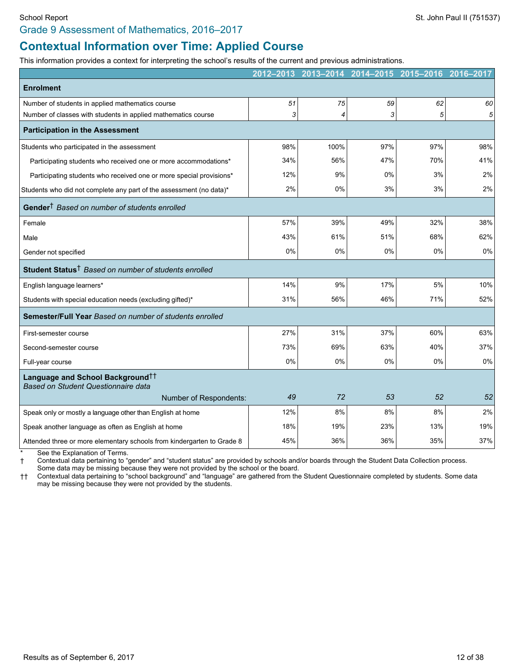#### Grade 9 Assessment of Mathematics, 2016–2017

## **Contextual Information over Time: Applied Course**

This information provides a context for interpreting the school's results of the current and previous administrations.

|                                                                                     | 2012-2013 | 2013-2014 | 2014-2015 | 2015-2016 | 2016-2017 |
|-------------------------------------------------------------------------------------|-----------|-----------|-----------|-----------|-----------|
| <b>Enrolment</b>                                                                    |           |           |           |           |           |
| Number of students in applied mathematics course                                    | 51        | 75        | 59        | 62        | 60        |
| Number of classes with students in applied mathematics course                       | 3         | 4         | 3         | 5         | 5         |
| <b>Participation in the Assessment</b>                                              |           |           |           |           |           |
| Students who participated in the assessment                                         | 98%       | 100%      | 97%       | 97%       | 98%       |
| Participating students who received one or more accommodations*                     | 34%       | 56%       | 47%       | 70%       | 41%       |
| Participating students who received one or more special provisions*                 | 12%       | 9%        | 0%        | 3%        | 2%        |
| Students who did not complete any part of the assessment (no data)*                 | 2%        | 0%        | 3%        | 3%        | 2%        |
| Gender <sup>†</sup> Based on number of students enrolled                            |           |           |           |           |           |
| Female                                                                              | 57%       | 39%       | 49%       | 32%       | 38%       |
| Male                                                                                | 43%       | 61%       | 51%       | 68%       | 62%       |
| Gender not specified                                                                | 0%        | 0%        | 0%        | 0%        | 0%        |
| Student Status <sup>†</sup> Based on number of students enrolled                    |           |           |           |           |           |
| English language learners*                                                          | 14%       | 9%        | 17%       | 5%        | 10%       |
| Students with special education needs (excluding gifted)*                           | 31%       | 56%       | 46%       | 71%       | 52%       |
| Semester/Full Year Based on number of students enrolled                             |           |           |           |           |           |
| First-semester course                                                               | 27%       | 31%       | 37%       | 60%       | 63%       |
| Second-semester course                                                              | 73%       | 69%       | 63%       | 40%       | 37%       |
| Full-year course                                                                    | 0%        | $0\%$     | 0%        | 0%        | 0%        |
| Language and School Background <sup>††</sup><br>Based on Student Questionnaire data |           |           |           |           |           |
| Number of Respondents:                                                              | 49        | 72        | 53        | 52        | 52        |
| Speak only or mostly a language other than English at home                          | 12%       | 8%        | 8%        | 8%        | 2%        |
| Speak another language as often as English at home                                  | 18%       | 19%       | 23%       | 13%       | 19%       |
| Attended three or more elementary schools from kindergarten to Grade 8              | 45%       | 36%       | 36%       | 35%       | 37%       |

See the Explanation of Terms.

† Contextual data pertaining to "gender" and "student status" are provided by schools and/or boards through the Student Data Collection process.

Some data may be missing because they were not provided by the school or the board.

†† Contextual data pertaining to "school background" and "language" are gathered from the Student Questionnaire completed by students. Some data may be missing because they were not provided by the students.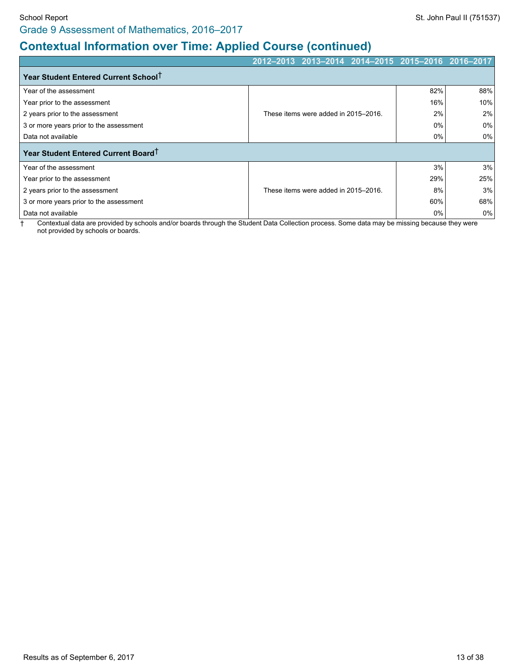# **Contextual Information over Time: Applied Course (continued)**

|                                                  | 2012-2013 2013-2014 2014-2015 2015-2016 |                                      |     |       | $12016 - 2017$ |
|--------------------------------------------------|-----------------------------------------|--------------------------------------|-----|-------|----------------|
| Year Student Entered Current School <sup>+</sup> |                                         |                                      |     |       |                |
| Year of the assessment                           |                                         |                                      |     | 82%   | 88%            |
| Year prior to the assessment                     |                                         |                                      |     | 16%   | 10%            |
| 2 years prior to the assessment                  |                                         | These items were added in 2015-2016. |     | 2%    | 2%             |
| 3 or more years prior to the assessment          |                                         |                                      |     | 0%    | 0%             |
| Data not available                               |                                         |                                      |     | $0\%$ | $0\%$          |
| Year Student Entered Current Board <sup>T</sup>  |                                         |                                      |     |       |                |
| Year of the assessment                           |                                         |                                      |     | 3%    | 3%             |
| Year prior to the assessment                     |                                         |                                      | 29% | 25%   |                |
| 2 years prior to the assessment                  |                                         | These items were added in 2015-2016. | 8%  | 3%    |                |
| 3 or more years prior to the assessment          |                                         |                                      | 60% | 68%   |                |
| Data not available                               |                                         |                                      |     | 0%    | $0\%$          |

† Contextual data are provided by schools and/or boards through the Student Data Collection process. Some data may be missing because they were not provided by schools or boards.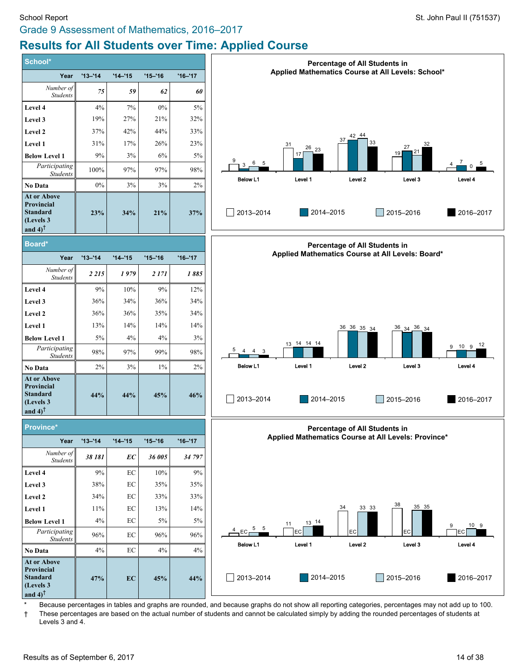# Grade 9 Assessment of Mathematics, 2016–2017 **Results for All Students over Time: Applied Course**

| School*                                                                                         |             |            |            |             |
|-------------------------------------------------------------------------------------------------|-------------|------------|------------|-------------|
| Year                                                                                            | $'13 - '14$ | $'14 - 15$ | $'15 - 16$ | $'16 - '17$ |
| Number of<br><b>Students</b>                                                                    | 75          | 59         | 62         | 60          |
| Level 4                                                                                         | 4%          | 7%         | $0\%$      | 5%          |
| Level 3                                                                                         | 19%         | 27%        | 21%        | 32%         |
| Level 2                                                                                         | 37%         | 42%        | 44%        | 33%         |
| Level 1                                                                                         | 31%         | 17%        | 26%        | 23%         |
| <b>Below Level 1</b>                                                                            | 9%          | 3%         | 6%         | 5%          |
| Participating<br><b>Students</b>                                                                | 100%        | 97%        | 97%        | 98%         |
| No Data                                                                                         | $0\%$       | 3%         | 3%         | 2%          |
| <b>At or Above</b><br><b>Provincial</b><br><b>Standard</b><br>(Levels 3<br>and $4$ <sup>†</sup> | 23%         | 34%        | 21%        | 37%         |
| Board*                                                                                          |             |            |            |             |
| Year                                                                                            | $'13 - 14$  | $'14 - 15$ | $'15 - 16$ | $'16 - '17$ |
| Number of<br><b>Students</b>                                                                    | 2 2 1 5     | 1979       | 2 1 7 1    | 1885        |
| Level 4                                                                                         | 9%          | 10%        | 9%         | 12%         |
| Level 3                                                                                         | 36%         | 34%        | 36%        | 34%         |
| Level 2                                                                                         | 36%         | 36%        | 35%        | 34%         |
| Level 1                                                                                         | 13%         | 14%        | 14%        | 14%         |
| <b>Below Level 1</b>                                                                            | $5\%$       | 4%         | 4%         | 3%          |
| Participating<br><b>Students</b>                                                                | 98%         | 97%        | 99%        | 98%         |
| <b>No Data</b>                                                                                  | 2%          | 3%         | 1%         | 2%          |
| <b>At or Above</b><br><b>Provincial</b><br><b>Standard</b><br>(Levels 3<br>and $4$ <sup>†</sup> | 44%         | 44%        | 45%        | 46%         |
| Province*                                                                                       |             |            |            |             |
| Year<br>Number of                                                                               | $'13 - 14$  | $'14 - 15$ | $'15 - 16$ | $'16 - '17$ |
| <b>Students</b>                                                                                 | 38 181      | EС         | 36 005     | 34 797      |
| <b>Level 4</b>                                                                                  | 9%          | EС         | 10%        | 9%          |
| Level 3                                                                                         | 38%         | ЕC         | 35%        | 35%         |
| Level 2                                                                                         | 34%         | EС         | 33%        | 33%         |
| Level 1                                                                                         | 11%         | EС         | 13%        | 14%         |
| <b>Below Level 1</b>                                                                            | 4%          | EC         | 5%         | 5%          |
| Participating<br><b>Students</b>                                                                | 96%         | EC         | 96%        | 96%         |
| <b>No Data</b>                                                                                  | 4%          | ЕC         | 4%         | 4%          |
| At or Above<br>Provincial<br><b>Standard</b><br>(Levels 3<br>and $4$ <sup>†</sup>               | 47%         | EC         | 45%        | 44%         |

![](_page_13_Figure_4.jpeg)

![](_page_13_Figure_5.jpeg)

![](_page_13_Figure_6.jpeg)

Because percentages in tables and graphs are rounded, and because graphs do not show all reporting categories, percentages may not add up to 100.

† These percentages are based on the actual number of students and cannot be calculated simply by adding the rounded percentages of students at Levels 3 and 4.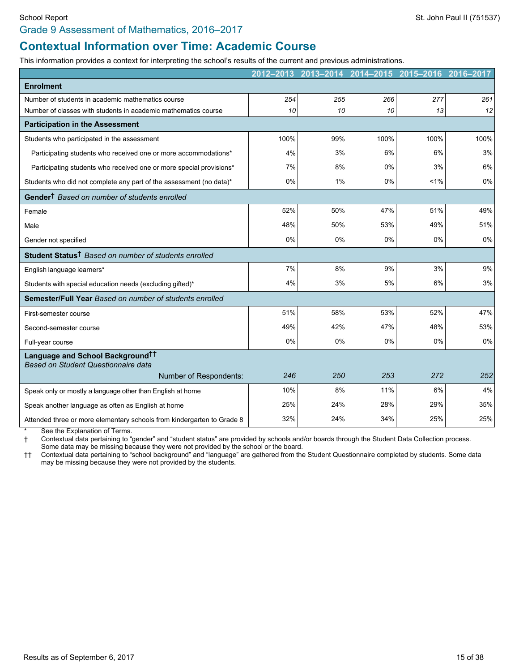#### Grade 9 Assessment of Mathematics, 2016–2017

## **Contextual Information over Time: Academic Course**

This information provides a context for interpreting the school's results of the current and previous administrations.

|                                                                                     | 2012-2013 | 2013-2014 | 2014-2015 | 2015-2016 | 2016-2017 |
|-------------------------------------------------------------------------------------|-----------|-----------|-----------|-----------|-----------|
| <b>Enrolment</b>                                                                    |           |           |           |           |           |
| Number of students in academic mathematics course                                   | 254       | 255       | 266       | 277       | 261       |
| Number of classes with students in academic mathematics course                      | 10        | 10        | 10        | 13        | 12        |
| <b>Participation in the Assessment</b>                                              |           |           |           |           |           |
| Students who participated in the assessment                                         | 100%      | 99%       | 100%      | 100%      | 100%      |
| Participating students who received one or more accommodations*                     | 4%        | 3%        | 6%        | 6%        | 3%        |
| Participating students who received one or more special provisions*                 | 7%        | 8%        | 0%        | 3%        | 6%        |
| Students who did not complete any part of the assessment (no data)*                 | 0%        | 1%        | 0%        | 1%        | 0%        |
| Gender <sup>†</sup> Based on number of students enrolled                            |           |           |           |           |           |
| Female                                                                              | 52%       | 50%       | 47%       | 51%       | 49%       |
| Male                                                                                | 48%       | 50%       | 53%       | 49%       | 51%       |
| Gender not specified                                                                | 0%        | 0%        | 0%        | 0%        | 0%        |
| Student Status <sup>†</sup> Based on number of students enrolled                    |           |           |           |           |           |
| English language learners*                                                          | 7%        | 8%        | 9%        | 3%        | 9%        |
| Students with special education needs (excluding gifted)*                           | 4%        | 3%        | 5%        | 6%        | 3%        |
| Semester/Full Year Based on number of students enrolled                             |           |           |           |           |           |
| First-semester course                                                               | 51%       | 58%       | 53%       | 52%       | 47%       |
| Second-semester course                                                              | 49%       | 42%       | 47%       | 48%       | 53%       |
| Full-year course                                                                    | 0%        | 0%        | 0%        | 0%        | 0%        |
| Language and School Background <sup>††</sup><br>Based on Student Questionnaire data |           |           |           |           |           |
| Number of Respondents:                                                              | 246       | 250       | 253       | 272       | 252       |
| Speak only or mostly a language other than English at home                          | 10%       | 8%        | 11%       | 6%        | 4%        |
| Speak another language as often as English at home                                  | 25%       | 24%       | 28%       | 29%       | 35%       |
| Attended three or more elementary schools from kindergarten to Grade 8              | 32%       | 24%       | 34%       | 25%       | 25%       |

See the Explanation of Terms.

† Contextual data pertaining to "gender" and "student status" are provided by schools and/or boards through the Student Data Collection process.

Some data may be missing because they were not provided by the school or the board.

†† Contextual data pertaining to "school background" and "language" are gathered from the Student Questionnaire completed by students. Some data may be missing because they were not provided by the students.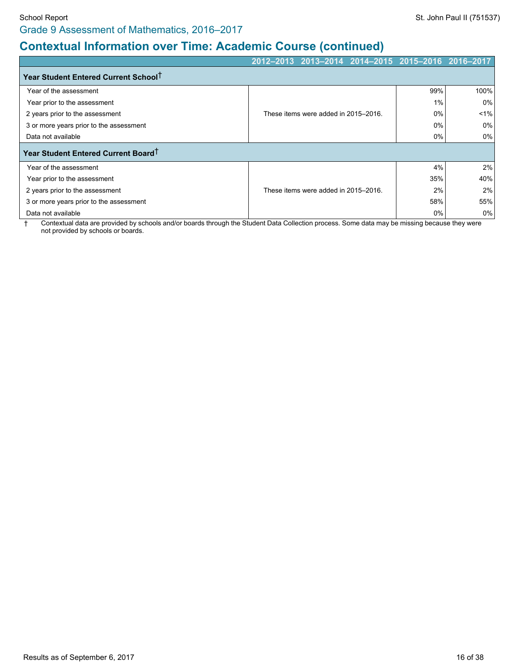# **Contextual Information over Time: Academic Course (continued)**

|                                                  |                                      |     | 2012-2013 2013-2014 2014-2015 2015-2016 2016-2017 |       |
|--------------------------------------------------|--------------------------------------|-----|---------------------------------------------------|-------|
| Year Student Entered Current School <sup>+</sup> |                                      |     |                                                   |       |
| Year of the assessment                           |                                      |     | 99%                                               | 100%  |
| Year prior to the assessment                     |                                      |     | 1%                                                | 0%    |
| 2 years prior to the assessment                  | These items were added in 2015-2016. |     | 0%                                                | $1\%$ |
| 3 or more years prior to the assessment          |                                      |     | $0\%$                                             | 0%    |
| Data not available                               |                                      |     | 0%                                                | 0%    |
| Year Student Entered Current Board <sup>+</sup>  |                                      |     |                                                   |       |
| Year of the assessment                           |                                      |     | 4%                                                | 2%    |
| Year prior to the assessment                     |                                      | 35% | 40%                                               |       |
| 2 years prior to the assessment                  | These items were added in 2015-2016. | 2%  | 2%                                                |       |
| 3 or more years prior to the assessment          |                                      |     | 58%                                               | 55%   |
| Data not available                               |                                      |     | 0%                                                | $0\%$ |

† Contextual data are provided by schools and/or boards through the Student Data Collection process. Some data may be missing because they were not provided by schools or boards.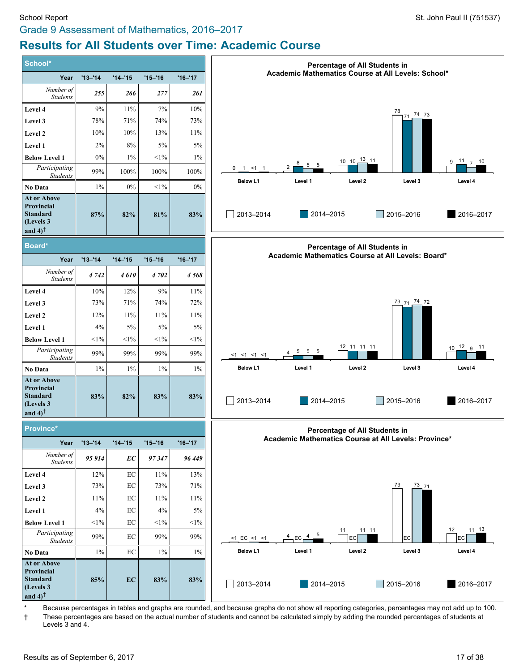## Grade 9 Assessment of Mathematics, 2016–2017 **Results for All Students over Time: Academic Course**

![](_page_16_Figure_3.jpeg)

Because percentages in tables and graphs are rounded, and because graphs do not show all reporting categories, percentages may not add up to 100. † These percentages are based on the actual number of students and cannot be calculated simply by adding the rounded percentages of students at Levels 3 and 4.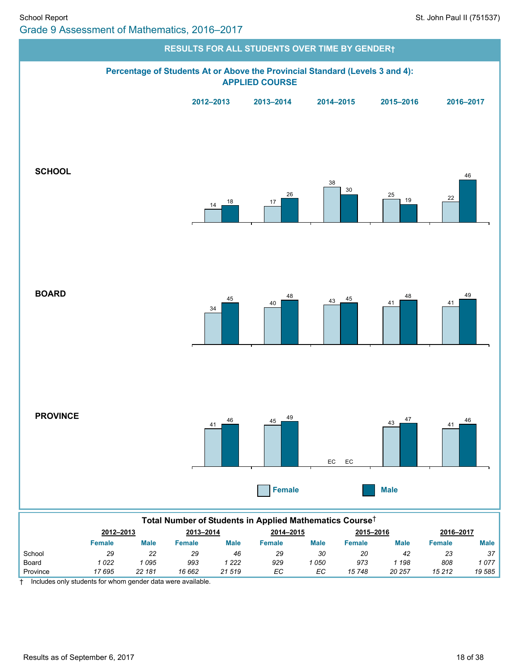![](_page_17_Figure_2.jpeg)

|          | Female | Male            | Female | Male   | Female | <b>Male</b> | Female | <b>Male</b> | Female | <b>Male</b> |
|----------|--------|-----------------|--------|--------|--------|-------------|--------|-------------|--------|-------------|
| School   | 29     | 22<br><u>__</u> | 29     | 46     | 29     | 30          | 20     | 42          | 23     | 37          |
| Board    | 022    | 095             | 993    | 222    | 929    | 050         | 973    | 198         | 808    | 077         |
| Province | 17 695 | 22 181          | 16 662 | 21 519 | EC     | ЕC          | 15 748 | 20 257      | 15 212 | 19585       |

† Includes only students for whom gender data were available.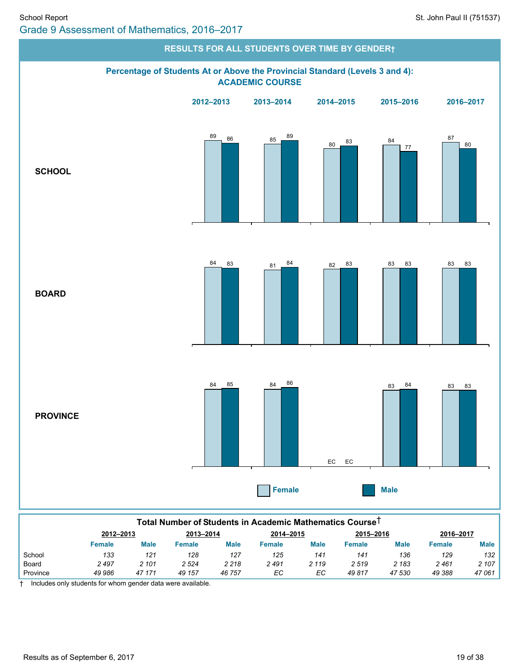![](_page_18_Figure_2.jpeg)

| Total Number of Students in Academic Mathematics Course <sup>⊤</sup> |               |         |           |         |           |         |               |        |           |             |  |
|----------------------------------------------------------------------|---------------|---------|-----------|---------|-----------|---------|---------------|--------|-----------|-------------|--|
|                                                                      | 2012-2013     |         | 2013-2014 |         | 2014-2015 |         | 2015-2016     |        | 2016-2017 |             |  |
|                                                                      | <b>Female</b> | Male    | Female    | Male    | Female    | Male    | <b>Female</b> | Male   | Female    | <b>Male</b> |  |
| School                                                               | 133           | 121     | 128       | 127     | 125       | 141     | 141           | 136    | 129       | 132         |  |
| Board                                                                | 2497          | 2 1 0 1 | 2 5 24    | 2 2 1 8 | 2491      | 2 1 1 9 | 2519          | 2 183  | 2461      | 2 107       |  |
| Province                                                             | 49 986        | 47 171  | 49 157    | 46 757  | ЕC        | ЕC      | 49817         | 47 530 | 49 388    | 47061       |  |

† Includes only students for whom gender data were available.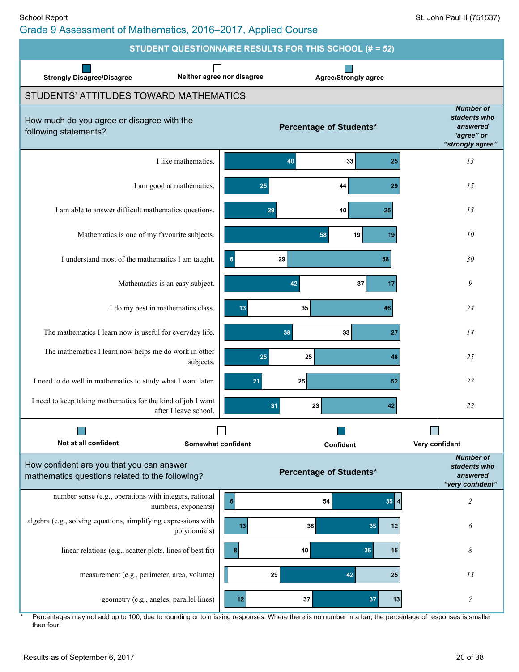Grade 9 Assessment of Mathematics, 2016–2017, Applied Course

![](_page_19_Figure_3.jpeg)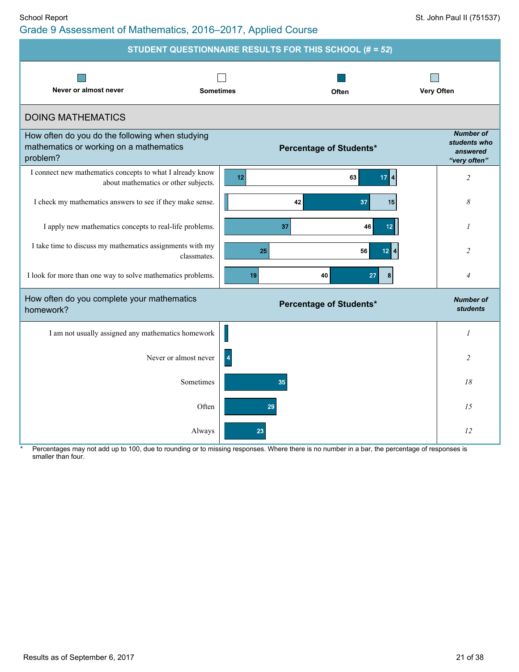|                                                                                                        |                  | STUDENT QUESTIONNAIRE RESULTS FOR THIS SCHOOL (# = 52) |                                                              |
|--------------------------------------------------------------------------------------------------------|------------------|--------------------------------------------------------|--------------------------------------------------------------|
| Never or almost never                                                                                  | <b>Sometimes</b> | Often                                                  | Very Often                                                   |
| <b>DOING MATHEMATICS</b>                                                                               |                  |                                                        |                                                              |
| How often do you do the following when studying<br>mathematics or working on a mathematics<br>problem? |                  | <b>Percentage of Students*</b>                         | <b>Number of</b><br>students who<br>answered<br>"very often" |
| I connect new mathematics concepts to what I already know<br>about mathematics or other subjects.      | 12               | 63<br>17 <sup>14</sup>                                 | $\overline{c}$                                               |
| I check my mathematics answers to see if they make sense.                                              |                  | 42<br>37<br>15                                         | 8                                                            |
| I apply new mathematics concepts to real-life problems.                                                |                  | 37<br>46<br>12 <sub>2</sub>                            | 1                                                            |
| I take time to discuss my mathematics assignments with my<br>classmates.                               | 25               | 56<br>$12$ $4$                                         | $\overline{c}$                                               |
| I look for more than one way to solve mathematics problems.                                            | 19               | 40<br>27<br>8                                          | 4                                                            |
| How often do you complete your mathematics<br>homework?                                                |                  | <b>Percentage of Students*</b>                         | <b>Number of</b><br><b>students</b>                          |
| I am not usually assigned any mathematics homework                                                     |                  |                                                        | 1                                                            |
| Never or almost never                                                                                  | $\overline{4}$   |                                                        | 2                                                            |
| Sometimes                                                                                              |                  | 35                                                     | 18                                                           |
|                                                                                                        | Often            | 29                                                     | 15                                                           |
|                                                                                                        | Always<br>23     |                                                        | 12                                                           |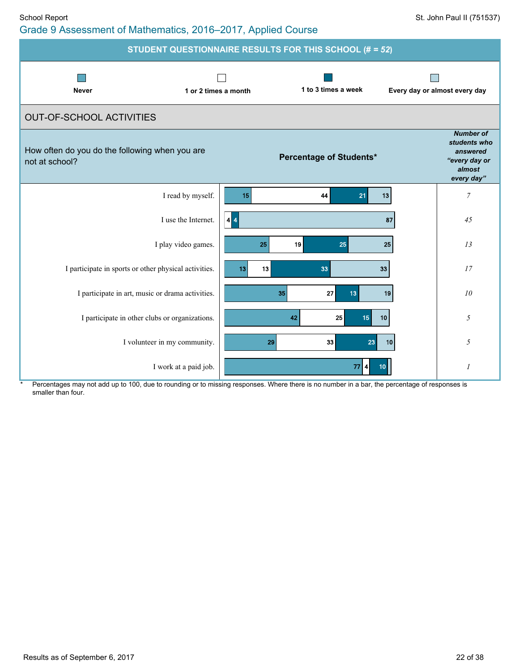| Grade 9 Assessment of Mathematics, 2016–2017, Applied Course |  |
|--------------------------------------------------------------|--|
|--------------------------------------------------------------|--|

| STUDENT QUESTIONNAIRE RESULTS FOR THIS SCHOOL (# = 52)           |                                    |                                                                                       |  |  |  |  |  |
|------------------------------------------------------------------|------------------------------------|---------------------------------------------------------------------------------------|--|--|--|--|--|
| <b>Never</b><br>1 or 2 times a month                             | 1 to 3 times a week                | Every day or almost every day                                                         |  |  |  |  |  |
| <b>OUT-OF-SCHOOL ACTIVITIES</b>                                  |                                    |                                                                                       |  |  |  |  |  |
| How often do you do the following when you are<br>not at school? | Percentage of Students*            | <b>Number of</b><br>students who<br>answered<br>"every day or<br>almost<br>every day" |  |  |  |  |  |
| I read by myself.                                                | 13<br>21<br>15<br>44               | $\overline{7}$                                                                        |  |  |  |  |  |
| I use the Internet.                                              | $\vert 4 \vert 4$<br>87            | 45                                                                                    |  |  |  |  |  |
| I play video games.                                              | 19<br>25<br>25<br>25               | 13                                                                                    |  |  |  |  |  |
| I participate in sports or other physical activities.            | 13<br>13<br>33<br>33               | 17                                                                                    |  |  |  |  |  |
| I participate in art, music or drama activities.                 | 27<br>35<br>13 <sub>1</sub><br>19  | 10                                                                                    |  |  |  |  |  |
| I participate in other clubs or organizations.                   | 25<br>42<br>15 <sub>15</sub><br>10 | 5                                                                                     |  |  |  |  |  |
| I volunteer in my community.                                     | 33<br>23<br>29<br>10               | 5                                                                                     |  |  |  |  |  |
| I work at a paid job.                                            | $77$ 4<br>10 <sub>1</sub>          | $\mathcal I$                                                                          |  |  |  |  |  |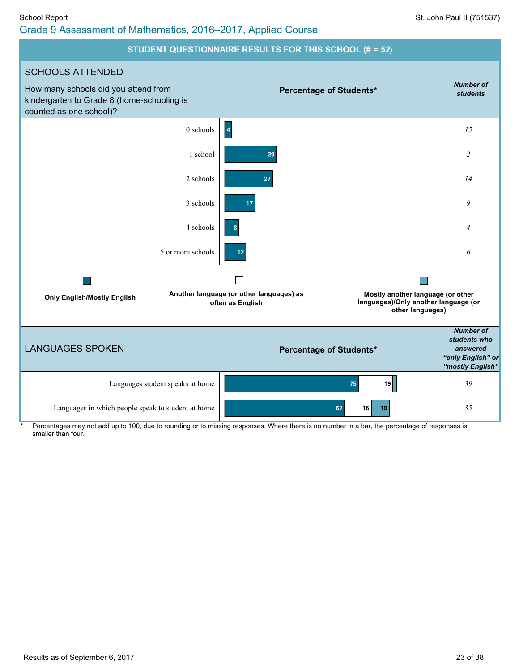#### School Report St. John Paul II (751537) Grade 9 Assessment of Mathematics, 2016–2017, Applied Course

#### **STUDENT QUESTIONNAIRE RESULTS FOR THIS SCHOOL (#** *= 52***)**

![](_page_22_Figure_3.jpeg)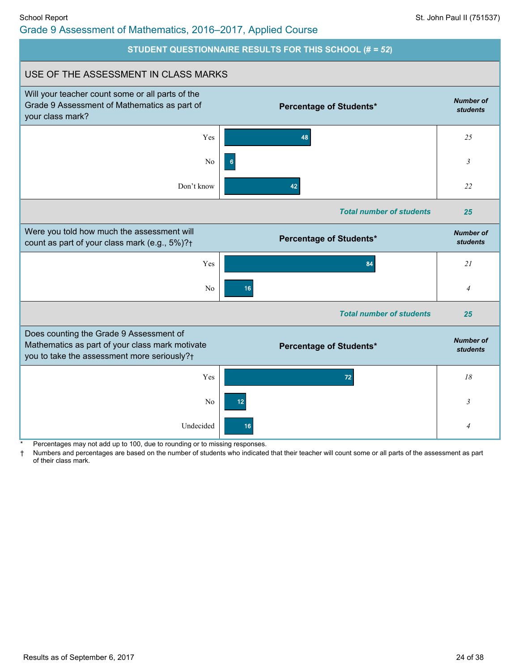## Grade 9 Assessment of Mathematics, 2016–2017, Applied Course

![](_page_23_Figure_3.jpeg)

Percentages may not add up to 100, due to rounding or to missing responses.

† Numbers and percentages are based on the number of students who indicated that their teacher will count some or all parts of the assessment as part of their class mark.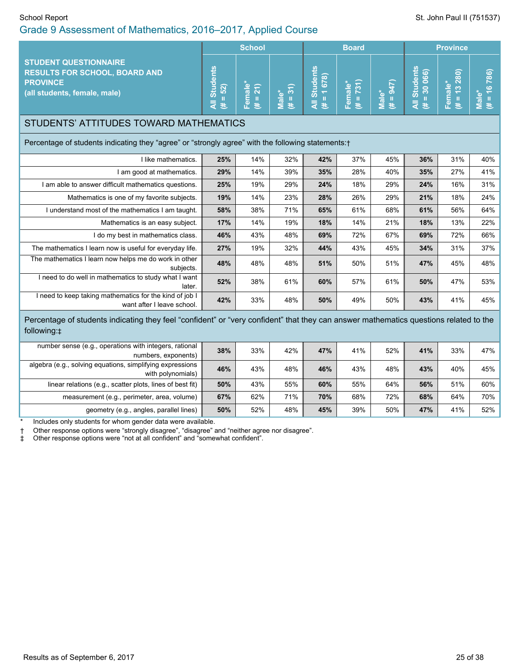#### School Report St. John Paul II (751537) Grade 9 Assessment of Mathematics, 2016–2017, Applied Course

|                                                                                                                                                       |                                    | <b>School</b>          |                     | <b>Board</b>                   |                         |                    |                             | <b>Province</b>             |                      |
|-------------------------------------------------------------------------------------------------------------------------------------------------------|------------------------------------|------------------------|---------------------|--------------------------------|-------------------------|--------------------|-----------------------------|-----------------------------|----------------------|
| <b>STUDENT QUESTIONNAIRE</b><br><b>RESULTS FOR SCHOOL, BOARD AND</b><br><b>PROVINCE</b><br>(all students, female, male)                               | <b>All Students</b><br>$= 52$<br>巷 | Female*<br>$= 21$<br>巷 | $(# = 31)$<br>Male* | All Students<br>$(\# = 1 678)$ | Female*<br>$(\# = 731)$ | Male*<br>(# = 947) | All Students<br>$# = 30066$ | Female*<br>$(\# = 13\ 280)$ | $# = 16786$<br>Male* |
| STUDENTS' ATTITUDES TOWARD MATHEMATICS                                                                                                                |                                    |                        |                     |                                |                         |                    |                             |                             |                      |
| Percentage of students indicating they "agree" or "strongly agree" with the following statements: +                                                   |                                    |                        |                     |                                |                         |                    |                             |                             |                      |
| I like mathematics.                                                                                                                                   | 25%                                | 14%                    | 32%                 | 42%                            | 37%                     | 45%                | 36%                         | 31%                         | 40%                  |
| I am good at mathematics.                                                                                                                             | 29%                                | 14%                    | 39%                 | 35%                            | 28%                     | 40%                | 35%                         | 27%                         | 41%                  |
| I am able to answer difficult mathematics questions.                                                                                                  | 25%                                | 19%                    | 29%                 | 24%                            | 18%                     | 29%                | 24%                         | 16%                         | 31%                  |
| Mathematics is one of my favorite subjects.                                                                                                           | 19%                                | 14%                    | 23%                 | 28%                            | 26%                     | 29%                | 21%                         | 18%                         | 24%                  |
| I understand most of the mathematics I am taught.                                                                                                     | 58%                                | 38%                    | 71%                 | 65%                            | 61%                     | 68%                | 61%                         | 56%                         | 64%                  |
| Mathematics is an easy subject.                                                                                                                       | 17%                                | 14%                    | 19%                 | 18%                            | 14%                     | 21%                | 18%                         | 13%                         | 22%                  |
| I do my best in mathematics class.                                                                                                                    | 46%                                | 43%                    | 48%                 | 69%                            | 72%                     | 67%                | 69%                         | 72%                         | 66%                  |
| The mathematics I learn now is useful for everyday life.                                                                                              | 27%                                | 19%                    | 32%                 | 44%                            | 43%                     | 45%                | 34%                         | 31%                         | 37%                  |
| The mathematics I learn now helps me do work in other<br>subjects.                                                                                    | 48%                                | 48%                    | 48%                 | 51%                            | 50%                     | 51%                | 47%                         | 45%                         | 48%                  |
| I need to do well in mathematics to study what I want<br>later.                                                                                       | 52%                                | 38%                    | 61%                 | 60%                            | 57%                     | 61%                | 50%                         | 47%                         | 53%                  |
| I need to keep taking mathematics for the kind of job I<br>want after I leave school.                                                                 | 42%                                | 33%                    | 48%                 | 50%                            | 49%                     | 50%                | 43%                         | 41%                         | 45%                  |
| Percentage of students indicating they feel "confident" or "very confident" that they can answer mathematics questions related to the<br>following: ± |                                    |                        |                     |                                |                         |                    |                             |                             |                      |
| number sense (e.g., operations with integers, rational<br>numbers, exponents)                                                                         | 38%                                | 33%                    | 42%                 | 47%                            | 41%                     | 52%                | 41%                         | 33%                         | 47%                  |
| algebra (e.g., solving equations, simplifying expressions<br>with polynomials)                                                                        | 46%                                | 43%                    | 48%                 | 46%                            | 43%                     | 48%                | 43%                         | 40%                         | 45%                  |
| linear relations (e.g., scatter plots, lines of best fit)                                                                                             | 50%                                | 43%                    | 55%                 | 60%                            | 55%                     | 64%                | 56%                         | 51%                         | 60%                  |
| measurement (e.g., perimeter, area, volume)                                                                                                           | 67%                                | 62%                    | 71%                 | 70%                            | 68%                     | 72%                | 68%                         | 64%                         | 70%                  |
| geometry (e.g., angles, parallel lines)                                                                                                               | 50%                                | 52%                    | 48%                 | 45%                            | 39%                     | 50%                | 47%                         | 41%                         | 52%                  |

Includes only students for whom gender data were available.

† Other response options were "strongly disagree", "disagree" and "neither agree nor disagree".

Other response options were "not at all confident" and "somewhat confident".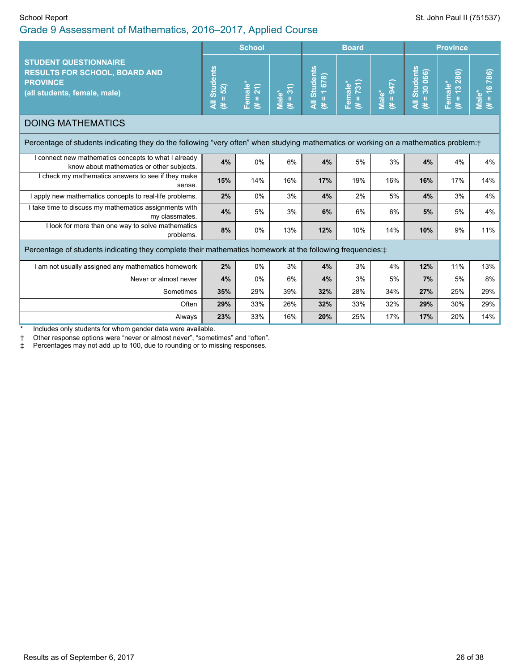## Grade 9 Assessment of Mathematics, 2016–2017, Applied Course

|                                                                                                                                       |                                                          | <b>School</b>         |                   |                               | <b>Board</b>            |                    |                                       | <b>Province</b>             |                             |
|---------------------------------------------------------------------------------------------------------------------------------------|----------------------------------------------------------|-----------------------|-------------------|-------------------------------|-------------------------|--------------------|---------------------------------------|-----------------------------|-----------------------------|
| <b>STUDENT QUESTIONNAIRE</b><br><b>RESULTS FOR SCHOOL, BOARD AND</b><br><b>PROVINCE</b><br>(all students, female, male)               | <b>Students</b><br>52)<br>$\tilde{\mathbf{u}}$<br>₹<br>巷 | Female®<br>$(# = 21)$ | Male*<br>(# = 31) | All Students<br>$= 1678$<br>巷 | $= 731$<br>Female*<br>巷 | Male*<br>(# = 947) | <b>All Students</b><br>$= 30066$<br>巷 | $(\# = 13\ 280)$<br>Female* | 786)<br>$(4) = 16$<br>Male* |
| <b>DOING MATHEMATICS</b>                                                                                                              |                                                          |                       |                   |                               |                         |                    |                                       |                             |                             |
| Percentage of students indicating they do the following "very often" when studying mathematics or working on a mathematics problem: † |                                                          |                       |                   |                               |                         |                    |                                       |                             |                             |
| I connect new mathematics concepts to what I already<br>know about mathematics or other subjects.                                     | 4%                                                       | 0%                    | 6%                | 4%                            | 5%                      | 3%                 | 4%                                    | 4%                          | 4%                          |
| I check my mathematics answers to see if they make<br>sense.                                                                          | 15%                                                      | 14%                   | 16%               | 17%                           | 19%                     | 16%                | 16%                                   | 17%                         | 14%                         |
| I apply new mathematics concepts to real-life problems.                                                                               | 2%                                                       | 0%                    | 3%                | 4%                            | 2%                      | 5%                 | 4%                                    | 3%                          | 4%                          |
| I take time to discuss my mathematics assignments with<br>my classmates.                                                              | 4%                                                       | 5%                    | 3%                | 6%                            | 6%                      | 6%                 | 5%                                    | 5%                          | 4%                          |
| I look for more than one way to solve mathematics<br>problems.                                                                        | 8%                                                       | $0\%$                 | 13%               | 12%                           | 10%                     | 14%                | 10%                                   | 9%                          | 11%                         |
| Percentage of students indicating they complete their mathematics homework at the following frequencies: ±                            |                                                          |                       |                   |                               |                         |                    |                                       |                             |                             |
| I am not usually assigned any mathematics homework                                                                                    | 2%                                                       | 0%                    | 3%                | 4%                            | 3%                      | 4%                 | 12%                                   | 11%                         | 13%                         |
| Never or almost never                                                                                                                 | 4%                                                       | $0\%$                 | 6%                | 4%                            | 3%                      | 5%                 | 7%                                    | 5%                          | 8%                          |
| Sometimes                                                                                                                             | 35%                                                      | 29%                   | 39%               | 32%                           | 28%                     | 34%                | 27%                                   | 25%                         | 29%                         |
| Often                                                                                                                                 | 29%                                                      | 33%                   | 26%               | 32%                           | 33%                     | 32%                | 29%                                   | 30%                         | 29%                         |
| Always                                                                                                                                | 23%                                                      | 33%                   | 16%               | 20%                           | 25%                     | 17%                | 17%                                   | 20%                         | 14%                         |
| Includes only students for whom gender data were available.                                                                           |                                                          |                       |                   |                               |                         |                    |                                       |                             |                             |

\* Includes only students for whom gender data were available.

† Other response options were "never or almost never", "sometimes" and "often".

Percentages may not add up to 100, due to rounding or to missing responses.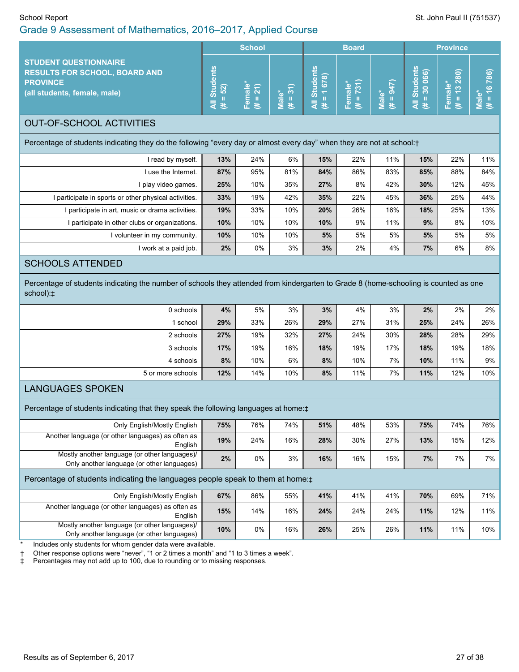# School Report School Report St. John Paul II (751537)

| Grade 9 Assessment of Mathematics, 2016–2017, Applied Course                                                                                                                                                                              |                                    |                     |                   |                                   |                      |                      |                                |                             |                                  |
|-------------------------------------------------------------------------------------------------------------------------------------------------------------------------------------------------------------------------------------------|------------------------------------|---------------------|-------------------|-----------------------------------|----------------------|----------------------|--------------------------------|-----------------------------|----------------------------------|
|                                                                                                                                                                                                                                           |                                    | <b>School</b>       |                   |                                   | <b>Board</b>         |                      |                                | <b>Province</b>             |                                  |
| <b>STUDENT QUESTIONNAIRE</b><br><b>RESULTS FOR SCHOOL, BOARD AND</b><br><b>PROVINCE</b><br>(all students, female, male)                                                                                                                   | <b>All Students</b><br>$= 52$<br>悲 | Female*<br>(# = 21) | Male*<br>(# = 31) | <b>All Students</b><br>$# = 1678$ | $# = 731$<br>Female* | $(1 + 947)$<br>Male* | All Students<br>$= 30066$<br>巷 | Female*<br>$(\# = 13\ 280)$ | $# = 16786$<br>Male <sup>*</sup> |
| <b>OUT-OF-SCHOOL ACTIVITIES</b>                                                                                                                                                                                                           |                                    |                     |                   |                                   |                      |                      |                                |                             |                                  |
| Percentage of students indicating they do the following "every day or almost every day" when they are not at school:+                                                                                                                     |                                    |                     |                   |                                   |                      |                      |                                |                             |                                  |
| I read by myself.                                                                                                                                                                                                                         | 13%                                | 24%                 | 6%                | 15%                               | 22%                  | 11%                  | 15%                            | 22%                         | 11%                              |
| I use the Internet.                                                                                                                                                                                                                       | 87%                                | 95%                 | 81%               | 84%                               | 86%                  | 83%                  | 85%                            | 88%                         | 84%                              |
| I play video games.                                                                                                                                                                                                                       | 25%                                | 10%                 | 35%               | 27%                               | 8%                   | 42%                  | 30%                            | 12%                         | 45%                              |
| I participate in sports or other physical activities.                                                                                                                                                                                     | 33%                                | 19%                 | 42%               | 35%                               | 22%                  | 45%                  | 36%                            | 25%                         | 44%                              |
| I participate in art, music or drama activities.                                                                                                                                                                                          | 19%                                | 33%                 | 10%               | 20%                               | 26%                  | 16%                  | 18%                            | 25%                         | 13%                              |
| I participate in other clubs or organizations.                                                                                                                                                                                            | 10%                                | 10%                 | 10%               | 10%                               | 9%                   | 11%                  | 9%                             | 8%                          | 10%                              |
| I volunteer in my community.                                                                                                                                                                                                              | 10%                                | 10%                 | 10%               | 5%                                | 5%                   | 5%                   | 5%                             | 5%                          | 5%                               |
| I work at a paid job.                                                                                                                                                                                                                     | 2%                                 | $0\%$               | 3%                | 3%                                | 2%                   | 4%                   | 7%                             | 6%                          | 8%                               |
| <b>SCHOOLS ATTENDED</b>                                                                                                                                                                                                                   |                                    |                     |                   |                                   |                      |                      |                                |                             |                                  |
| Percentage of students indicating the number of schools they attended from kindergarten to Grade 8 (home-schooling is counted as one<br>school):‡                                                                                         |                                    |                     |                   |                                   |                      |                      |                                |                             |                                  |
| 0 schools                                                                                                                                                                                                                                 | 4%                                 | 5%                  | 3%                | 3%                                | 4%                   | 3%                   | 2%                             | 2%                          | 2%                               |
| 1 school                                                                                                                                                                                                                                  | 29%                                | 33%                 | 26%               | 29%                               | 27%                  | 31%                  | 25%                            | 24%                         | 26%                              |
| 2 schools                                                                                                                                                                                                                                 | 27%                                | 19%                 | 32%               | 27%                               | 24%                  | 30%                  | 28%                            | 28%                         | 29%                              |
| 3 schools                                                                                                                                                                                                                                 | 17%                                | 19%                 | 16%               | 18%                               | 19%                  | 17%                  | 18%                            | 19%                         | 18%                              |
| 4 schools                                                                                                                                                                                                                                 | 8%                                 | 10%                 | 6%                | 8%                                | 10%                  | 7%                   | 10%                            | 11%                         | 9%                               |
| 5 or more schools                                                                                                                                                                                                                         | 12%                                | 14%                 | 10%               | 8%                                | 11%                  | 7%                   | 11%                            | 12%                         | 10%                              |
| <b>LANGUAGES SPOKEN</b>                                                                                                                                                                                                                   |                                    |                     |                   |                                   |                      |                      |                                |                             |                                  |
| Percentage of students indicating that they speak the following languages at home:#                                                                                                                                                       |                                    |                     |                   |                                   |                      |                      |                                |                             |                                  |
| Only English/Mostly English                                                                                                                                                                                                               | 75%                                | 76%                 | 74%               | 51%                               | 48%                  | 53%                  | 75%                            | 74%                         | 76%                              |
| Another language (or other languages) as often as<br>English                                                                                                                                                                              | 19%                                | 24%                 | 16%               | 28%                               | 30%                  | 27%                  | 13%                            | 15%                         | 12%                              |
| Mostly another language (or other languages)/<br>Only another language (or other languages)                                                                                                                                               | 2%                                 | 0%                  | 3%                | 16%                               | 16%                  | 15%                  | 7%                             | 7%                          | 7%                               |
| Percentage of students indicating the languages people speak to them at home: $\pm$                                                                                                                                                       |                                    |                     |                   |                                   |                      |                      |                                |                             |                                  |
| Only English/Mostly English                                                                                                                                                                                                               | 67%                                | 86%                 | 55%               | 41%                               | 41%                  | 41%                  | 70%                            | 69%                         | 71%                              |
| Another language (or other languages) as often as<br>English                                                                                                                                                                              | 15%                                | 14%                 | 16%               | 24%                               | 24%                  | 24%                  | 11%                            | 12%                         | 11%                              |
| Mostly another language (or other languages)/<br>Only another language (or other languages)                                                                                                                                               | 10%                                | 0%                  | 16%               | 26%                               | 25%                  | 26%                  | 11%                            | 11%                         | 10%                              |
| Includes only students for whom gender data were available.<br>Other response options were "never", "1 or 2 times a month" and "1 to 3 times a week".<br>ŧ<br>Percentages may not add up to 100, due to rounding or to missing responses. |                                    |                     |                   |                                   |                      |                      |                                |                             |                                  |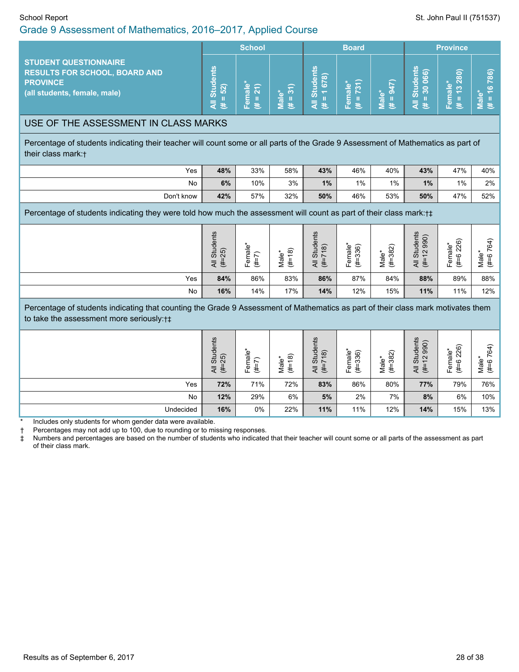### Grade 9 Assessment of Mathematics, 2016–2017, Applied Course

|                                                                                                                  | <b>School</b> |   | <b>Board</b>                                  |        | <b>Province</b> |               |                                                                                          |                                                             |                         |
|------------------------------------------------------------------------------------------------------------------|---------------|---|-----------------------------------------------|--------|-----------------|---------------|------------------------------------------------------------------------------------------|-------------------------------------------------------------|-------------------------|
| STUDENT QUESTIONNAIRE<br><b>RESULTS FOR SCHOOL, BOARD AND</b><br><b>PROVINCE</b><br>(all students, female, male) | द ≛           | w | $\overline{\phantom{0}}$<br>$\mathbf{c}$<br>巷 | ന<br>巷 | œв<br>w.        | ത<br>त्न<br>B | ൟ<br>œ<br>ασ<br>$\overline{\mathbf{a}}$<br>Ō<br>Ō<br>$\circ$<br>ౙ<br>$\overline{\Omega}$ | $\widehat{\sigma}$<br>$\overline{\infty}$<br>$\infty$<br>o. | 786)<br>$\epsilon$<br>œ |

#### USE OF THE ASSESSMENT IN CLASS MARKS

Percentage of students indicating their teacher will count some or all parts of the Grade 9 Assessment of Mathematics as part of their class mark:†

| Yes        | 48% | 33% | 58% | 43% | 46%   | 40% | 43% | 47%   | 40% |
|------------|-----|-----|-----|-----|-------|-----|-----|-------|-----|
| No         | 6%  | 10% | 3%  | 1%  | $1\%$ | 1%  | 1%  | $1\%$ | 2%  |
| Don't know | 42% | 57% | 32% | 50% | 46%   | 53% | 50% | 47%   | 52% |

Percentage of students indicating they were told how much the assessment will count as part of their class mark:†‡

|     | dents<br>$\widehat{5}$<br>ಹೆ ಸ್ಪಿ<br>まえ | $\frac{1}{a}$<br>$\overline{\phantom{0}}$<br>⊆<br>ه<br>ŧ<br>ட் | ၜ<br>lale <sup>®</sup><br>$\overline{\phantom{0}}$<br>ŧ<br>∠ | its<br>tuder<br>$\widehat{\infty}$<br>$\overline{\phantom{0}}$<br>ÖΝ<br>—<br>-<br>マ き | ଚ<br>Ф<br>c.<br>ā<br>$\sim$<br>⊆<br>€<br>ட | $\widehat{82}$<br>Male'<br>ო<br>€ | its<br>990)<br>┶<br>-eb<br>$\mathbf{\Omega}$<br>5<br>$\overline{ }$<br>₹<br>£,<br>⋖ | 226)<br>$\omega$<br>ಕ<br>ဖ<br>ট<br>共 | $\widehat{\phantom{a}}$<br>ᠴ<br>cò<br>Male<br>$\circ$<br>忎 |
|-----|-----------------------------------------|----------------------------------------------------------------|--------------------------------------------------------------|---------------------------------------------------------------------------------------|--------------------------------------------|-----------------------------------|-------------------------------------------------------------------------------------|--------------------------------------|------------------------------------------------------------|
| Yes | 84%                                     | 86%                                                            | 83%                                                          | 86%                                                                                   | 87%                                        | 84%                               | 88%                                                                                 | 89%                                  | 88%                                                        |
| No  | 16%                                     | 14%                                                            | 17%                                                          | 14%                                                                                   | 12%                                        | 15%                               | 11%                                                                                 | 11%                                  | 12%                                                        |

Percentage of students indicating that counting the Grade 9 Assessment of Mathematics as part of their class mark motivates them to take the assessment more seriously:†‡

|           | udents<br><u>ເດີ</u><br>ಹೆ <u>ಸ</u><br>まえ | $\frac{1}{\sigma}$<br>$\overline{\phantom{0}}$<br>⊆<br>ه<br>ŧ<br>ட | ၜ<br>Male'<br>$\overline{\phantom{0}}$<br><br>E | tudents<br>$\frac{1}{2}$<br>ÖΟ.<br>$\overline{ }$<br>₹<br>₩<br>⋖ | †e*<br>¤le<br>$\mathfrak{F}$<br>ო<br>Ф<br>€<br>ட | 382)<br>Male <sup>*</sup><br>€ | is<br>(080)<br>Studen<br>2<br>$\overline{ }$<br>共<br>≒<br>◅ | 6<br><u>်မှု</u> လ<br>Õ<br>∽<br>$\overline{\mathbb{Q}}$<br>共<br>ட் | $\widehat{+}$<br>ဖ<br>$\overline{\mathbb{e}}$<br>ဖ<br>Mai<br>恶 |
|-----------|-------------------------------------------|--------------------------------------------------------------------|-------------------------------------------------|------------------------------------------------------------------|--------------------------------------------------|--------------------------------|-------------------------------------------------------------|--------------------------------------------------------------------|----------------------------------------------------------------|
| Yes       | 72%                                       | 71%                                                                | 72%                                             | 83%                                                              | 86%                                              | 80%                            | 77%                                                         | 79%                                                                | 76%                                                            |
| No        | 12%                                       | 29%                                                                | 6%                                              | 5%                                                               | 2%                                               | 7%                             | 8%                                                          | 6%                                                                 | 10%                                                            |
| Undecided | 16%                                       | 0%                                                                 | 22%                                             | 11%                                                              | 11%                                              | 12%                            | 14%                                                         | 15%                                                                | 13%                                                            |

Includes only students for whom gender data were available.

† Percentages may not add up to 100, due to rounding or to missing responses.

‡ Numbers and percentages are based on the number of students who indicated that their teacher will count some or all parts of the assessment as part of their class mark.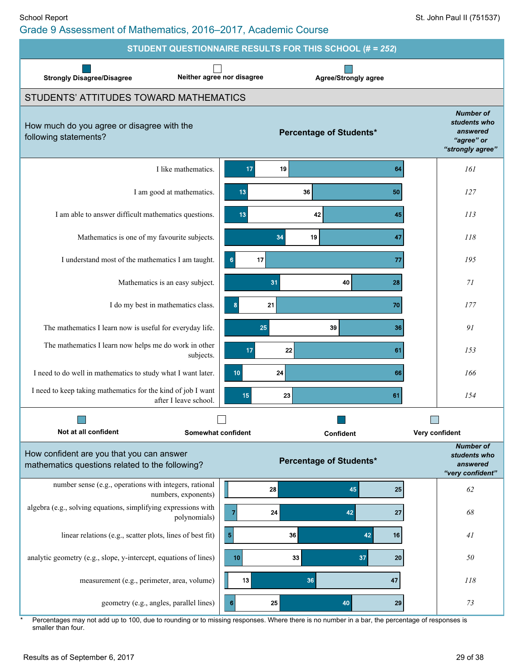| STUDENT QUESTIONNAIRE RESULTS FOR THIS SCHOOL (# = 252)                                      |                                                                                                                                                                                    |                                                                                |  |  |  |  |  |  |
|----------------------------------------------------------------------------------------------|------------------------------------------------------------------------------------------------------------------------------------------------------------------------------------|--------------------------------------------------------------------------------|--|--|--|--|--|--|
| <b>Strongly Disagree/Disagree</b>                                                            | Neither agree nor disagree<br><b>Agree/Strongly agree</b>                                                                                                                          |                                                                                |  |  |  |  |  |  |
| STUDENTS' ATTITUDES TOWARD MATHEMATICS                                                       |                                                                                                                                                                                    |                                                                                |  |  |  |  |  |  |
| How much do you agree or disagree with the<br>following statements?                          | <b>Percentage of Students*</b>                                                                                                                                                     | <b>Number of</b><br>students who<br>answered<br>"agree" or<br>"strongly agree" |  |  |  |  |  |  |
| I like mathematics.                                                                          | 17<br>19<br>64                                                                                                                                                                     | 161                                                                            |  |  |  |  |  |  |
| I am good at mathematics.                                                                    | 13<br>36<br>50                                                                                                                                                                     | 127                                                                            |  |  |  |  |  |  |
| I am able to answer difficult mathematics questions.                                         | 13<br>42<br>45                                                                                                                                                                     | 113                                                                            |  |  |  |  |  |  |
| Mathematics is one of my favourite subjects.                                                 | 34<br>19<br>47                                                                                                                                                                     | 118                                                                            |  |  |  |  |  |  |
| I understand most of the mathematics I am taught.                                            | 17<br>$6\phantom{1}6$<br>77                                                                                                                                                        | 195                                                                            |  |  |  |  |  |  |
| Mathematics is an easy subject.                                                              | 31<br>40<br>28                                                                                                                                                                     | 71                                                                             |  |  |  |  |  |  |
| I do my best in mathematics class.                                                           | 21<br>70<br>8                                                                                                                                                                      | 177                                                                            |  |  |  |  |  |  |
| The mathematics I learn now is useful for everyday life.                                     | 39<br>25<br>36                                                                                                                                                                     | 91                                                                             |  |  |  |  |  |  |
| The mathematics I learn now helps me do work in other<br>subjects.                           | 17<br>22<br>61                                                                                                                                                                     | 153                                                                            |  |  |  |  |  |  |
| I need to do well in mathematics to study what I want later.                                 | 10<br>24<br>66                                                                                                                                                                     | 166                                                                            |  |  |  |  |  |  |
| I need to keep taking mathematics for the kind of job I want<br>after I leave school.        | 15<br>23<br>61                                                                                                                                                                     | 154                                                                            |  |  |  |  |  |  |
|                                                                                              |                                                                                                                                                                                    |                                                                                |  |  |  |  |  |  |
| Not at all confident                                                                         | Somewhat confident<br>Confident                                                                                                                                                    | Very confident                                                                 |  |  |  |  |  |  |
| How confident are you that you can answer<br>mathematics questions related to the following? | <b>Percentage of Students*</b>                                                                                                                                                     | <b>Number of</b><br>students who<br>answered<br>"very confident"               |  |  |  |  |  |  |
| number sense (e.g., operations with integers, rational<br>numbers, exponents)                | 28<br>45<br>25                                                                                                                                                                     | 62                                                                             |  |  |  |  |  |  |
| algebra (e.g., solving equations, simplifying expressions with<br>polynomials)               | 24<br>42<br>27<br>7                                                                                                                                                                | 68                                                                             |  |  |  |  |  |  |
| linear relations (e.g., scatter plots, lines of best fit)                                    | $\sqrt{5}$<br>36<br>42<br>16                                                                                                                                                       | 41                                                                             |  |  |  |  |  |  |
| analytic geometry (e.g., slope, y-intercept, equations of lines)                             | 10<br>33<br>37<br>20                                                                                                                                                               | 50                                                                             |  |  |  |  |  |  |
| measurement (e.g., perimeter, area, volume)                                                  | 13<br>36<br>47                                                                                                                                                                     | 118                                                                            |  |  |  |  |  |  |
| geometry (e.g., angles, parallel lines)                                                      | $6\phantom{1}6$<br>25<br>40<br>29<br>Percentages may not add up to 100, due to rounding or to missing responses. Where there is no number in a bar, the percentage of responses is | 73                                                                             |  |  |  |  |  |  |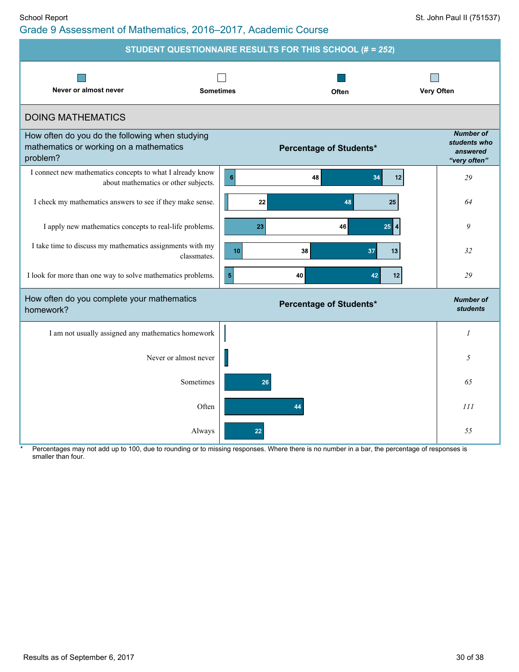| <b>STUDENT QUESTIONNAIRE RESULTS FOR THIS SCHOOL (# = 252)</b>                                         |                                                |                                                              |  |  |  |  |  |  |
|--------------------------------------------------------------------------------------------------------|------------------------------------------------|--------------------------------------------------------------|--|--|--|--|--|--|
| Never or almost never                                                                                  | <b>Sometimes</b><br><b>Very Often</b><br>Often |                                                              |  |  |  |  |  |  |
| <b>DOING MATHEMATICS</b>                                                                               |                                                |                                                              |  |  |  |  |  |  |
| How often do you do the following when studying<br>mathematics or working on a mathematics<br>problem? | <b>Percentage of Students*</b>                 | <b>Number of</b><br>students who<br>answered<br>"very often" |  |  |  |  |  |  |
| I connect new mathematics concepts to what I already know<br>about mathematics or other subjects.      | $\overline{\mathbf{6}}$<br>48<br>34<br>12      | 29                                                           |  |  |  |  |  |  |
| I check my mathematics answers to see if they make sense.                                              | 22<br>48<br>25                                 | 64                                                           |  |  |  |  |  |  |
| I apply new mathematics concepts to real-life problems.                                                | 46<br>25<br>23                                 | 9                                                            |  |  |  |  |  |  |
| I take time to discuss my mathematics assignments with my<br>classmates.                               | 10<br>38<br>37<br>13                           | 32                                                           |  |  |  |  |  |  |
| I look for more than one way to solve mathematics problems.                                            | 5<br>40<br>42<br>12                            | 29                                                           |  |  |  |  |  |  |
| How often do you complete your mathematics<br>homework?                                                | Percentage of Students*                        | <b>Number of</b><br><b>students</b>                          |  |  |  |  |  |  |
| I am not usually assigned any mathematics homework                                                     |                                                |                                                              |  |  |  |  |  |  |
| Never or almost never                                                                                  |                                                | 5                                                            |  |  |  |  |  |  |

Always **22** *55* Percentages may not add up to 100, due to rounding or to missing responses. Where there is no number in a bar, the percentage of responses is

Sometimes **26** *65*

Often **44** *111*

smaller than four.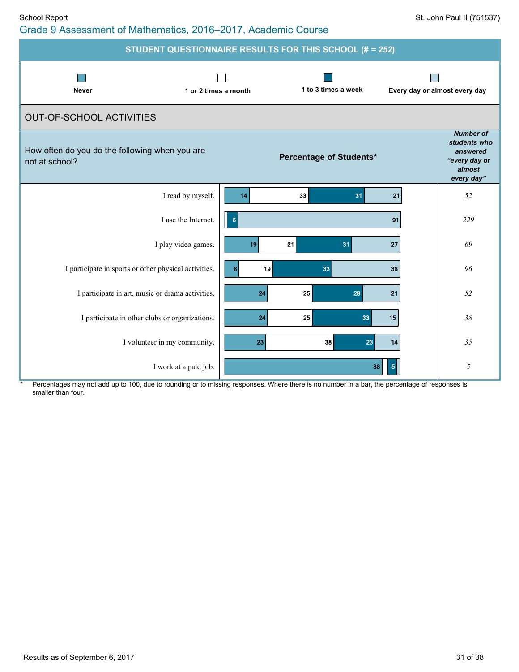| School Report                                                 | St. John Paul II (751537) |
|---------------------------------------------------------------|---------------------------|
| Grade 9 Assessment of Mathematics, 2016–2017, Academic Course |                           |

| <b>STUDENT QUESTIONNAIRE RESULTS FOR THIS SCHOOL (# = 252)</b>   |                                   |                                                                                       |  |  |  |  |  |  |
|------------------------------------------------------------------|-----------------------------------|---------------------------------------------------------------------------------------|--|--|--|--|--|--|
| <b>Never</b><br>1 or 2 times a month                             | 1 to 3 times a week               | Every day or almost every day                                                         |  |  |  |  |  |  |
| <b>OUT-OF-SCHOOL ACTIVITIES</b>                                  |                                   |                                                                                       |  |  |  |  |  |  |
| How often do you do the following when you are<br>not at school? | <b>Percentage of Students*</b>    | <b>Number of</b><br>students who<br>answered<br>"every day or<br>almost<br>every day" |  |  |  |  |  |  |
| I read by myself.                                                | 14<br>33<br>31<br>21              | 52                                                                                    |  |  |  |  |  |  |
| I use the Internet.                                              | $6\phantom{a}$<br>91              | 229                                                                                   |  |  |  |  |  |  |
| I play video games.                                              | 21<br>31<br>19<br>27              | 69                                                                                    |  |  |  |  |  |  |
| I participate in sports or other physical activities.            | 19<br>33<br>38<br>8               | 96                                                                                    |  |  |  |  |  |  |
| I participate in art, music or drama activities.                 | 25<br>24<br>28<br>21              | 52                                                                                    |  |  |  |  |  |  |
| I participate in other clubs or organizations.                   | 24<br>25<br>33 <sup>1</sup><br>15 | 38                                                                                    |  |  |  |  |  |  |
| I volunteer in my community.                                     | 38<br>23<br>23<br>14              | 35                                                                                    |  |  |  |  |  |  |
| I work at a paid job.                                            | 88<br>5                           | 5                                                                                     |  |  |  |  |  |  |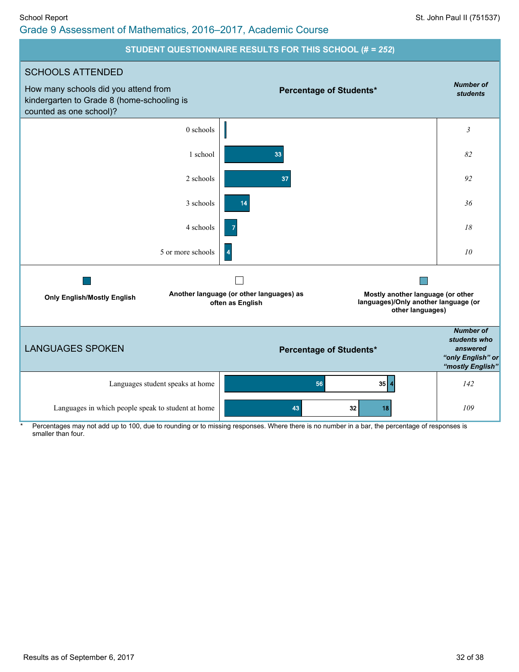#### School Report St. John Paul II (751537) Grade 9 Assessment of Mathematics, 2016–2017, Academic Course

#### **STUDENT QUESTIONNAIRE RESULTS FOR THIS SCHOOL (#** *= 252***)**

![](_page_31_Figure_3.jpeg)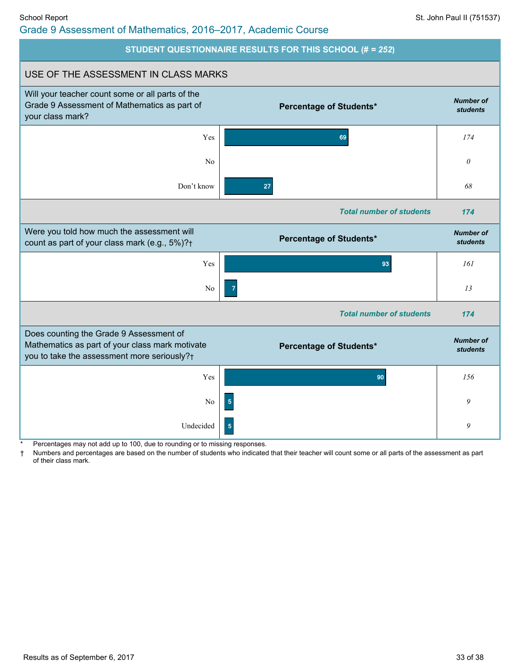# Grade 9 Assessment of Mathematics, 2016–2017, Academic Course

![](_page_32_Figure_3.jpeg)

Percentages may not add up to 100, due to rounding or to missing responses.

Numbers and percentages are based on the number of students who indicated that their teacher will count some or all parts of the assessment as part of their class mark.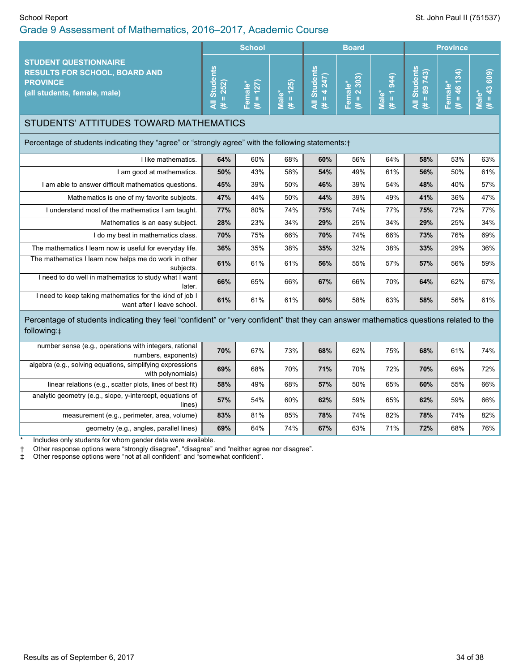#### School Report School Report St. John Paul II (751537) Grade 9 Assessment of Mathematics, 2016–2017, Academic Course

|                                                                                                                                                       |                                     | <b>School</b>          |                    |                                   | <b>Board</b>             |                                   | <b>Province</b>             |                        |                                  |  |
|-------------------------------------------------------------------------------------------------------------------------------------------------------|-------------------------------------|------------------------|--------------------|-----------------------------------|--------------------------|-----------------------------------|-----------------------------|------------------------|----------------------------------|--|
| <b>STUDENT QUESTIONNAIRE</b><br><b>RESULTS FOR SCHOOL, BOARD AND</b><br><b>PROVINCE</b><br>(all students, female, male)                               | <b>All Students</b><br>$= 252$<br>巷 | $(H = 127)$<br>Female* | $# = 125$<br>Male* | <b>All Students</b><br>$# = 4247$ | $= 2303$<br>Female*<br>巷 | $(# = 1944)$<br>Male <sup>*</sup> | All Students<br>$# = 89743$ | $# = 46134$<br>Female* | $# = 43609$<br>Male <sup>*</sup> |  |
| STUDENTS' ATTITUDES TOWARD MATHEMATICS                                                                                                                |                                     |                        |                    |                                   |                          |                                   |                             |                        |                                  |  |
| Percentage of students indicating they "agree" or "strongly agree" with the following statements: †                                                   |                                     |                        |                    |                                   |                          |                                   |                             |                        |                                  |  |
| I like mathematics.                                                                                                                                   | 64%                                 | 60%                    | 68%                | 60%                               | 56%                      | 64%                               | 58%                         | 53%                    | 63%                              |  |
| I am good at mathematics.                                                                                                                             | 50%                                 | 43%                    | 58%                | 54%                               | 49%                      | 61%                               | 56%                         | 50%                    | 61%                              |  |
| I am able to answer difficult mathematics questions.                                                                                                  | 45%                                 | 39%                    | 50%                | 46%                               | 39%                      | 54%                               | 48%                         | 40%                    | 57%                              |  |
| Mathematics is one of my favorite subjects.                                                                                                           | 47%                                 | 44%                    | 50%                | 44%                               | 39%                      | 49%                               | 41%                         | 36%                    | 47%                              |  |
| I understand most of the mathematics I am taught.                                                                                                     | 77%                                 | 80%                    | 74%                | 75%                               | 74%                      | 77%                               | 75%                         | 72%                    | 77%                              |  |
| Mathematics is an easy subject.                                                                                                                       | 28%                                 | 23%                    | 34%                | 29%                               | 25%                      | 34%                               | 29%                         | 25%                    | 34%                              |  |
| I do my best in mathematics class.                                                                                                                    | 70%                                 | 75%                    | 66%                | 70%                               | 74%                      | 66%                               | 73%                         | 76%                    | 69%                              |  |
| The mathematics I learn now is useful for everyday life.                                                                                              | 36%                                 | 35%                    | 38%                | 35%                               | 32%                      | 38%                               | 33%                         | 29%                    | 36%                              |  |
| The mathematics I learn now helps me do work in other<br>subjects.                                                                                    | 61%                                 | 61%                    | 61%                | 56%                               | 55%                      | 57%                               | 57%                         | 56%                    | 59%                              |  |
| I need to do well in mathematics to study what I want<br>later.                                                                                       | 66%                                 | 65%                    | 66%                | 67%                               | 66%                      | 70%                               | 64%                         | 62%                    | 67%                              |  |
| I need to keep taking mathematics for the kind of job I<br>want after I leave school.                                                                 | 61%                                 | 61%                    | 61%                | 60%                               | 58%                      | 63%                               | 58%                         | 56%                    | 61%                              |  |
| Percentage of students indicating they feel "confident" or "very confident" that they can answer mathematics questions related to the<br>following: ‡ |                                     |                        |                    |                                   |                          |                                   |                             |                        |                                  |  |
| number sense (e.g., operations with integers, rational<br>numbers, exponents)                                                                         | 70%                                 | 67%                    | 73%                | 68%                               | 62%                      | 75%                               | 68%                         | 61%                    | 74%                              |  |
| algebra (e.g., solving equations, simplifying expressions<br>with polynomials)                                                                        | 69%                                 | 68%                    | 70%                | 71%                               | 70%                      | 72%                               | 70%                         | 69%                    | 72%                              |  |
| linear relations (e.g., scatter plots, lines of best fit)                                                                                             | 58%                                 | 49%                    | 68%                | 57%                               | 50%                      | 65%                               | 60%                         | 55%                    | 66%                              |  |
| analytic geometry (e.g., slope, y-intercept, equations of<br>lines)                                                                                   | 57%                                 | 54%                    | 60%                | 62%                               | 59%                      | 65%                               | 62%                         | 59%                    | 66%                              |  |
| measurement (e.g., perimeter, area, volume)                                                                                                           | 83%                                 | 81%                    | 85%                | 78%                               | 74%                      | 82%                               | 78%                         | 74%                    | 82%                              |  |
| geometry (e.g., angles, parallel lines)                                                                                                               | 69%                                 | 64%                    | 74%                | 67%                               | 63%                      | 71%                               | 72%                         | 68%                    | 76%                              |  |

Includes only students for whom gender data were available.

† Other response options were "strongly disagree", "disagree" and "neither agree nor disagree".

‡ Other response options were "not at all confident" and "somewhat confident".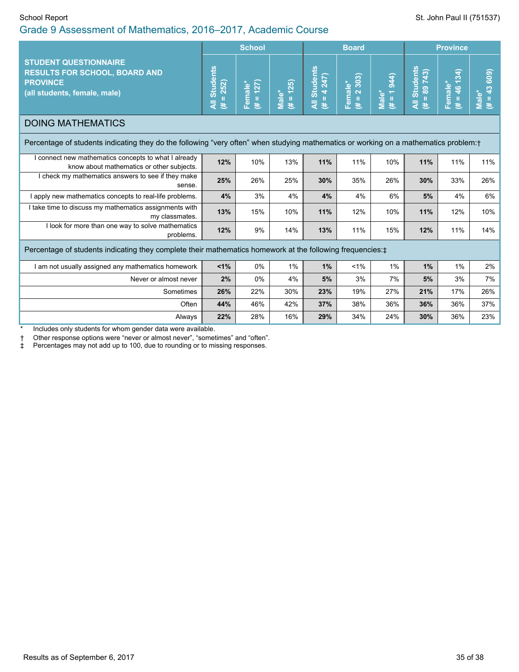### Grade 9 Assessment of Mathematics, 2016–2017, Academic Course

|                                                                                                                                       | <b>School</b>                          |                        |                      |                                                | <b>Board</b>                                                        |                       | <b>Province</b>               |                                |                      |
|---------------------------------------------------------------------------------------------------------------------------------------|----------------------------------------|------------------------|----------------------|------------------------------------------------|---------------------------------------------------------------------|-----------------------|-------------------------------|--------------------------------|----------------------|
| <b>STUDENT QUESTIONNAIRE</b><br><b>RESULTS FOR SCHOOL, BOARD AND</b><br><b>PROVINCE</b><br>(all students, female, male)               | <b>Students</b><br>252)<br>Ш<br>₹<br>巷 | $(# = 127)$<br>Female* | $(H = 125)$<br>Male* | <b>Students</b><br>4 247)<br>$\rm H$<br>₹<br>医 | 303)<br>Female <sup>*</sup><br>$\mathbf{\tilde{N}}$<br>$\,$ II<br>巷 | $(# = 1944)$<br>Male* | All Students<br>$(F = 89743)$ | 46 134)<br>Female*<br>$\equiv$ | $H = 43609$<br>Male* |
| <b>DOING MATHEMATICS</b>                                                                                                              |                                        |                        |                      |                                                |                                                                     |                       |                               |                                |                      |
| Percentage of students indicating they do the following "very often" when studying mathematics or working on a mathematics problem: † |                                        |                        |                      |                                                |                                                                     |                       |                               |                                |                      |
| I connect new mathematics concepts to what I already<br>know about mathematics or other subjects.                                     | 12%                                    | 10%                    | 13%                  | 11%                                            | 11%                                                                 | 10%                   | 11%                           | 11%                            | 11%                  |
| I check my mathematics answers to see if they make<br>sense.                                                                          | 25%                                    | 26%                    | 25%                  | 30%                                            | 35%                                                                 | 26%                   | 30%                           | 33%                            | 26%                  |
| I apply new mathematics concepts to real-life problems.                                                                               | 4%                                     | 3%                     | 4%                   | 4%                                             | 4%                                                                  | 6%                    | 5%                            | 4%                             | 6%                   |
| I take time to discuss my mathematics assignments with<br>my classmates.                                                              | 13%                                    | 15%                    | 10%                  | 11%                                            | 12%                                                                 | 10%                   | 11%                           | 12%                            | 10%                  |
| I look for more than one way to solve mathematics<br>problems.                                                                        | 12%                                    | 9%                     | 14%                  | 13%                                            | 11%                                                                 | 15%                   | 12%                           | 11%                            | 14%                  |
| Percentage of students indicating they complete their mathematics homework at the following frequencies: ±                            |                                        |                        |                      |                                                |                                                                     |                       |                               |                                |                      |
| I am not usually assigned any mathematics homework                                                                                    | 1%                                     | 0%                     | 1%                   | 1%                                             | $< 1\%$                                                             | 1%                    | 1%                            | 1%                             | 2%                   |
| Never or almost never                                                                                                                 | 2%                                     | 0%                     | 4%                   | 5%                                             | 3%                                                                  | 7%                    | 5%                            | 3%                             | 7%                   |
| Sometimes                                                                                                                             | 26%                                    | 22%                    | 30%                  | 23%                                            | 19%                                                                 | 27%                   | 21%                           | 17%                            | 26%                  |
| Often                                                                                                                                 | 44%                                    | 46%                    | 42%                  | 37%                                            | 38%                                                                 | 36%                   | 36%                           | 36%                            | 37%                  |
| Always                                                                                                                                | 22%                                    | 28%                    | 16%                  | 29%                                            | 34%                                                                 | 24%                   | 30%                           | 36%                            | 23%                  |
| Includes only students for whom gender data were available                                                                            |                                        |                        |                      |                                                |                                                                     |                       |                               |                                |                      |

Includes only students for whom gender data were available.

† Other response options were "never or almost never", "sometimes" and "often".

‡ Percentages may not add up to 100, due to rounding or to missing responses.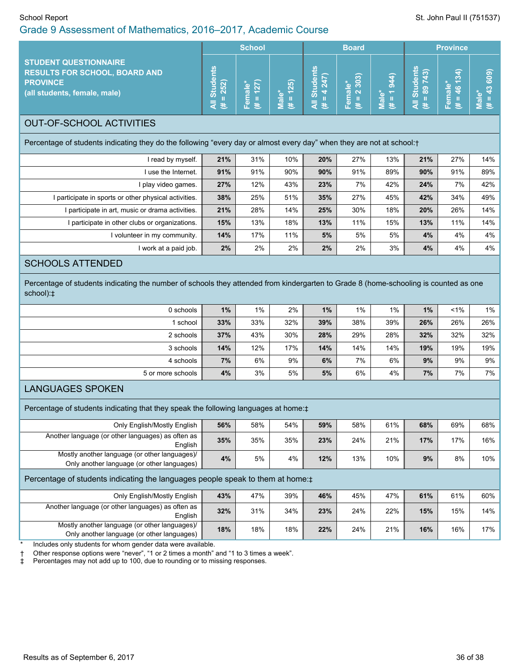| School Report<br>Grade 9 Assessment of Mathematics, 2016-2017, Academic Course                                                                                                                                                            |                                     |                      |                                            |                                        |                        |                       |                                                 | St. John Paul II (751537) |                         |
|-------------------------------------------------------------------------------------------------------------------------------------------------------------------------------------------------------------------------------------------|-------------------------------------|----------------------|--------------------------------------------|----------------------------------------|------------------------|-----------------------|-------------------------------------------------|---------------------------|-------------------------|
|                                                                                                                                                                                                                                           |                                     | <b>School</b>        |                                            |                                        | <b>Board</b>           |                       |                                                 | <b>Province</b>           |                         |
| <b>STUDENT QUESTIONNAIRE</b><br><b>RESULTS FOR SCHOOL, BOARD AND</b><br><b>PROVINCE</b><br>(all students, female, male)                                                                                                                   | <b>Students</b><br>$(* = 252)$<br>₹ | 127)<br>Female*<br># | $\overline{H}$ = 125)<br>Male <sup>*</sup> | <b>All Students</b><br>$(\# = 4\ 247)$ | Female*<br>(# = 2 303) | $(# = 1944)$<br>Male* | <b>All Students</b><br>$\overline{H}$ = 89 743) | $# = 46134$<br>Female*    | $(4 = 43,609)$<br>Male* |
| <b>OUT-OF-SCHOOL ACTIVITIES</b>                                                                                                                                                                                                           |                                     |                      |                                            |                                        |                        |                       |                                                 |                           |                         |
| Percentage of students indicating they do the following "every day or almost every day" when they are not at school:+                                                                                                                     |                                     |                      |                                            |                                        |                        |                       |                                                 |                           |                         |
| I read by myself.                                                                                                                                                                                                                         | 21%                                 | 31%                  | 10%                                        | 20%                                    | 27%                    | 13%                   | 21%                                             | 27%                       | 14%                     |
| I use the Internet.                                                                                                                                                                                                                       | 91%                                 | 91%                  | 90%                                        | 90%                                    | 91%                    | 89%                   | 90%                                             | 91%                       | 89%                     |
| I play video games.                                                                                                                                                                                                                       | 27%                                 | 12%                  | 43%                                        | 23%                                    | 7%                     | 42%                   | 24%                                             | 7%                        | 42%                     |
| I participate in sports or other physical activities.                                                                                                                                                                                     | 38%                                 | 25%                  | 51%                                        | 35%                                    | 27%                    | 45%                   | 42%                                             | 34%                       | 49%                     |
| I participate in art, music or drama activities.                                                                                                                                                                                          | 21%                                 | 28%                  | 14%                                        | 25%                                    | 30%                    | 18%                   | 20%                                             | 26%                       | 14%                     |
| I participate in other clubs or organizations.                                                                                                                                                                                            | 15%                                 | 13%                  | 18%                                        | 13%                                    | 11%                    | 15%                   | 13%                                             | 11%                       | 14%                     |
| I volunteer in my community.                                                                                                                                                                                                              | 14%                                 | 17%                  | 11%                                        | 5%                                     | 5%                     | 5%                    | 4%                                              | 4%                        | 4%                      |
| I work at a paid job.                                                                                                                                                                                                                     | 2%                                  | 2%                   | 2%                                         | 2%                                     | 2%                     | 3%                    | 4%                                              | 4%                        | 4%                      |
| <b>SCHOOLS ATTENDED</b>                                                                                                                                                                                                                   |                                     |                      |                                            |                                        |                        |                       |                                                 |                           |                         |
| Percentage of students indicating the number of schools they attended from kindergarten to Grade 8 (home-schooling is counted as one<br>school):‡                                                                                         |                                     |                      |                                            |                                        |                        |                       |                                                 |                           |                         |
| 0 schools                                                                                                                                                                                                                                 | 1%                                  | 1%                   | 2%                                         | 1%                                     | $1\%$                  | 1%                    | 1%                                              | $1\%$                     | $1\%$                   |
| 1 school                                                                                                                                                                                                                                  | 33%                                 | 33%                  | 32%                                        | 39%                                    | 38%                    | 39%                   | 26%                                             | 26%                       | 26%                     |
| 2 schools                                                                                                                                                                                                                                 | 37%                                 | 43%                  | 30%                                        | 28%                                    | 29%                    | 28%                   | 32%                                             | 32%                       | 32%                     |
| 3 schools                                                                                                                                                                                                                                 | 14%                                 | 12%                  | 17%                                        | 14%                                    | 14%                    | 14%                   | 19%                                             | 19%                       | 19%                     |
| 4 schools                                                                                                                                                                                                                                 | 7%                                  | 6%                   | 9%                                         | 6%                                     | 7%                     | 6%                    | 9%                                              | 9%                        | 9%                      |
| 5 or more schools                                                                                                                                                                                                                         | 4%                                  | 3%                   | 5%                                         | 5%                                     | 6%                     | 4%                    | 7%                                              | 7%                        | 7%                      |
| <b>LANGUAGES SPOKEN</b>                                                                                                                                                                                                                   |                                     |                      |                                            |                                        |                        |                       |                                                 |                           |                         |
| Percentage of students indicating that they speak the following languages at home:#                                                                                                                                                       |                                     |                      |                                            |                                        |                        |                       |                                                 |                           |                         |
| Only English/Mostly English                                                                                                                                                                                                               | 56%                                 | 58%                  | 54%                                        | 59%                                    | 58%                    | 61%                   | 68%                                             | 69%                       | 68%                     |
| Another language (or other languages) as often as<br>English                                                                                                                                                                              | 35%                                 | 35%                  | 35%                                        | 23%                                    | 24%                    | 21%                   | 17%                                             | 17%                       | 16%                     |
| Mostly another language (or other languages)/<br>Only another language (or other languages)                                                                                                                                               | 4%                                  | 5%                   | 4%                                         | 12%                                    | 13%                    | 10%                   | 9%                                              | 8%                        | 10%                     |
| Percentage of students indicating the languages people speak to them at home: $\pm$                                                                                                                                                       |                                     |                      |                                            |                                        |                        |                       |                                                 |                           |                         |
| Only English/Mostly English                                                                                                                                                                                                               | 43%                                 | 47%                  | 39%                                        | 46%                                    | 45%                    | 47%                   | 61%                                             | 61%                       | 60%                     |
| Another language (or other languages) as often as<br>English                                                                                                                                                                              | 32%                                 | 31%                  | 34%                                        | 23%                                    | 24%                    | 22%                   | 15%                                             | 15%                       | 14%                     |
| Mostly another language (or other languages)/<br>Only another language (or other languages)                                                                                                                                               | 18%                                 | 18%                  | 18%                                        | 22%                                    | 24%                    | 21%                   | 16%                                             | 16%                       | 17%                     |
| Includes only students for whom gender data were available.<br>Other response options were "never", "1 or 2 times a month" and "1 to 3 times a week".<br>Percentages may not add up to 100, due to rounding or to missing responses.<br>‡ |                                     |                      |                                            |                                        |                        |                       |                                                 |                           |                         |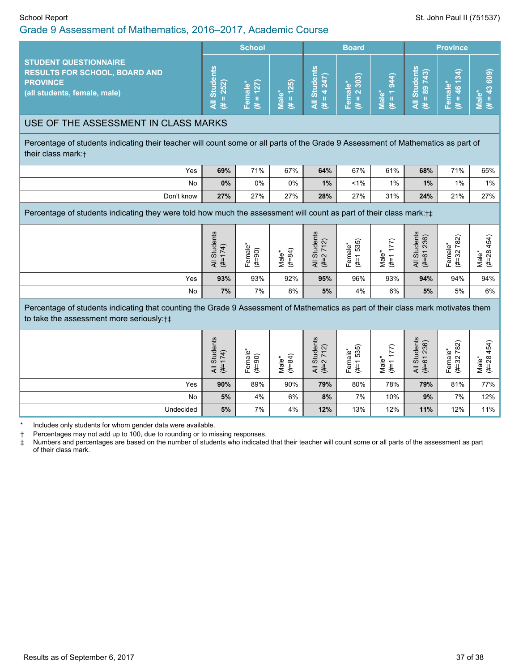#### Grade 9 Assessment of Mathematics, 2016–2017, Academic Course

|                                                                                                                         | <b>School</b> |  | <b>Board</b> |        |                                                                                    | <b>Province</b>               |                                                 |                      |                  |
|-------------------------------------------------------------------------------------------------------------------------|---------------|--|--------------|--------|------------------------------------------------------------------------------------|-------------------------------|-------------------------------------------------|----------------------|------------------|
| <b>STUDENT QUESTIONNAIRE</b><br><b>RESULTS FOR SCHOOL, BOARD AND</b><br><b>PROVINCE</b><br>(all students, female, male) | ്പ            |  | 25)<br>巷     | ഗ<br>共 | $\widehat{\boldsymbol{\omega}}$<br><u>န္</u><br>ው<br>$\overline{a}$ $\overline{a}$ | ത<br>$\overline{\sigma}$<br>B | ၐ<br>$\overline{\mathbf{a}}$<br>ō<br>န္ဟြီး အို | ∍<br>∾<br><b>AGT</b> | ெ<br>Ō<br>ൟ<br>æ |

#### USE OF THE ASSESSMENT IN CLASS MARKS

Percentage of students indicating their teacher will count some or all parts of the Grade 9 Assessment of Mathematics as part of their class mark:†

| Yes        | 69%   | 71% | 67% | 64% | 67%   | 61%   | 68% | 71%   | 65%   |
|------------|-------|-----|-----|-----|-------|-------|-----|-------|-------|
| No         | $0\%$ | 0%  | 0%  | 1%  | $1\%$ | $1\%$ | 1%  | $1\%$ | $1\%$ |
| Don't know | 27%   | 27% | 27% | 28% | 27%   | 31%   | 24% | 21%   | 27%   |

Percentage of students indicating they were told how much the assessment will count as part of their class mark:†‡

|     | dents<br>$\widehat{+}$<br>-<br>≠<br>∼<br>Ö)<br>$\overline{ }$<br>まえ | $\frac{e}{a}$<br>$\widehat{\circ}$<br>ග<br>-<br>ট<br>ŧ<br>ட் | $\widehat{+}$<br>ale <sup>®</sup><br>œ<br>ŧ<br>∠ | its<br>ট মি<br>Stud<br>? 71:<br>—<br>えき | ဂ<br>ო<br>$rac{1}{\pi}$<br>Ю<br>ເບ<br>৯<br>€<br>ட | €<br>$\overline{\phantom{0}}$<br>$\overline{\phantom{0}}$<br>Male<br>$\overline{\phantom{0}}$<br>€ | its<br>236)<br>┶<br>$\omega$<br>$\bar{\sigma}$<br>5<br>$\overline{ }$<br>$\circ$<br>₹<br>£,<br>◁ | $\widehat{82}$<br>nale <sup>r</sup><br>32 7<br>ত<br>共<br>ட | $\widehat{+}$<br>ιÒ<br>28<br>Male*<br>£ |
|-----|---------------------------------------------------------------------|--------------------------------------------------------------|--------------------------------------------------|-----------------------------------------|---------------------------------------------------|----------------------------------------------------------------------------------------------------|--------------------------------------------------------------------------------------------------|------------------------------------------------------------|-----------------------------------------|
| Yes | 93%                                                                 | 93%                                                          | 92%                                              | 95%                                     | 96%                                               | 93%                                                                                                | 94%                                                                                              | 94%                                                        | 94%                                     |
| No  | 7%                                                                  | 7%                                                           | 8%                                               | 5%                                      | 4%                                                | 6%                                                                                                 | 5%                                                                                               | 5%                                                         | $6\%$                                   |

Percentage of students indicating that counting the Grade 9 Assessment of Mathematics as part of their class mark motivates them to take the assessment more seriously:†‡

|           | tudents<br>$\rightarrow$<br>Ń<br>Ò.<br>$\overline{ }$<br>ミも | Φ<br>$\widehat{5}$<br>ಕ<br>¢<br>Ŧ<br>ட | $\widehat{+}$<br>Male <sup>*</sup><br>cò<br>€ | Students<br>-2 712)<br>₹<br>艺 | 6<br>ගී<br>ale <sup>s</sup><br>⊆<br>$\overline{\phantom{0}}$<br>Φ<br>Ë,<br>ட | $\widehat{\phantom{m}}$<br>$\overline{\phantom{0}}$<br>∼<br>$\overline{ }$<br>Φ<br>-<br>Nal<br>€ | Students<br>36)<br>$\sim$<br>$\overline{6}$<br>₹<br>£, | $\widehat{82}$<br>ึ ت<br>r<br>πā<br>32<br>Φ<br>ŧ<br>ட் | $\widehat{+}$<br>ιÒ<br>$\infty$<br>Male'<br>Ŧ |
|-----------|-------------------------------------------------------------|----------------------------------------|-----------------------------------------------|-------------------------------|------------------------------------------------------------------------------|--------------------------------------------------------------------------------------------------|--------------------------------------------------------|--------------------------------------------------------|-----------------------------------------------|
| Yes       | 90%                                                         | 89%                                    | 90%                                           | 79%                           | 80%                                                                          | 78%                                                                                              | 79%                                                    | 81%                                                    | $77\%$                                        |
| No        | 5%                                                          | 4%                                     | 6%                                            | 8%                            | 7%                                                                           | 10%                                                                                              | 9%                                                     | 7%                                                     | $12\%$                                        |
| Undecided | 5%                                                          | 7%                                     | 4%                                            | 12%                           | 13%                                                                          | 12%                                                                                              | 11%                                                    | 12%                                                    | $11\%$                                        |

Includes only students for whom gender data were available.

† Percentages may not add up to 100, due to rounding or to missing responses.

Numbers and percentages are based on the number of students who indicated that their teacher will count some or all parts of the assessment as part of their class mark.